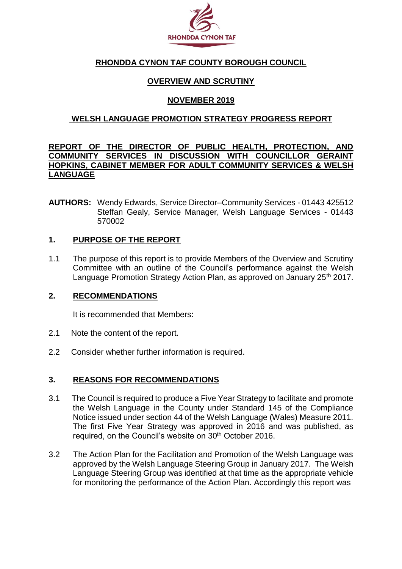

# **RHONDDA CYNON TAF COUNTY BOROUGH COUNCIL**

## **OVERVIEW AND SCRUTINY**

## **NOVEMBER 2019**

### **WELSH LANGUAGE PROMOTION STRATEGY PROGRESS REPORT**

#### **REPORT OF THE DIRECTOR OF PUBLIC HEALTH, PROTECTION, AND COMMUNITY SERVICES IN DISCUSSION WITH COUNCILLOR GERAINT HOPKINS, CABINET MEMBER FOR ADULT COMMUNITY SERVICES & WELSH LANGUAGE**

**AUTHORS:** Wendy Edwards, Service Director–Community Services - 01443 425512 Steffan Gealy, Service Manager, Welsh Language Services - 01443 570002

#### **1. PURPOSE OF THE REPORT**

1.1 The purpose of this report is to provide Members of the Overview and Scrutiny Committee with an outline of the Council's performance against the Welsh Language Promotion Strategy Action Plan, as approved on January 25<sup>th</sup> 2017.

#### **2. RECOMMENDATIONS**

It is recommended that Members:

- 2.1 Note the content of the report.
- 2.2 Consider whether further information is required.

#### **3. REASONS FOR RECOMMENDATIONS**

- 3.1The Council is required to produce a Five Year Strategy to facilitate and promote the Welsh Language in the County under Standard 145 of the Compliance Notice issued under section 44 of the Welsh Language (Wales) Measure 2011. The first Five Year Strategy was approved in 2016 and was published, as required, on the Council's website on 30<sup>th</sup> October 2016.
- 3.2 The Action Plan for the Facilitation and Promotion of the Welsh Language was approved by the Welsh Language Steering Group in January 2017. The Welsh Language Steering Group was identified at that time as the appropriate vehicle for monitoring the performance of the Action Plan. Accordingly this report was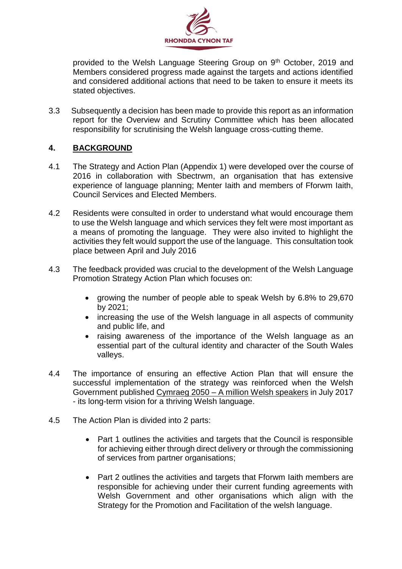

provided to the Welsh Language Steering Group on 9<sup>th</sup> October, 2019 and Members considered progress made against the targets and actions identified and considered additional actions that need to be taken to ensure it meets its stated objectives.

3.3 Subsequently a decision has been made to provide this report as an information report for the Overview and Scrutiny Committee which has been allocated responsibility for scrutinising the Welsh language cross-cutting theme.

## **4. BACKGROUND**

- 4.1 The Strategy and Action Plan (Appendix 1) were developed over the course of 2016 in collaboration with Sbectrwm, an organisation that has extensive experience of language planning; Menter Iaith and members of Fforwm Iaith, Council Services and Elected Members.
- 4.2 Residents were consulted in order to understand what would encourage them to use the Welsh language and which services they felt were most important as a means of promoting the language. They were also invited to highlight the activities they felt would support the use of the language. This consultation took place between April and July 2016
- 4.3 The feedback provided was crucial to the development of the Welsh Language Promotion Strategy Action Plan which focuses on:
	- growing the number of people able to speak Welsh by 6.8% to 29,670 by 2021;
	- increasing the use of the Welsh language in all aspects of community and public life, and
	- raising awareness of the importance of the Welsh language as an essential part of the cultural identity and character of the South Wales valleys.
- 4.4 The importance of ensuring an effective Action Plan that will ensure the successful implementation of the strategy was reinforced when the Welsh Government published Cymraeg 2050 – [A million Welsh speakers](https://gov.wales/sites/default/files/publications/2018-12/cymraeg-2050-welsh-language-strategy.pdf) in July 2017 - its long-term vision for a thriving Welsh language.
- 4.5 The Action Plan is divided into 2 parts:
	- Part 1 outlines the activities and targets that the Council is responsible for achieving either through direct delivery or through the commissioning of services from partner organisations;
	- Part 2 outlines the activities and targets that Fforwm laith members are responsible for achieving under their current funding agreements with Welsh Government and other organisations which align with the Strategy for the Promotion and Facilitation of the welsh language.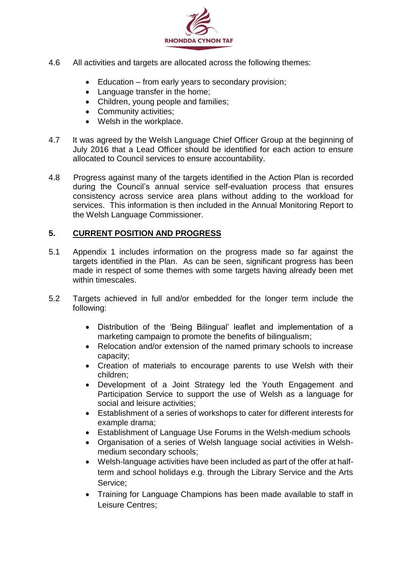

- 4.6 All activities and targets are allocated across the following themes:
	- Education from early years to secondary provision;
	- Language transfer in the home;
	- Children, young people and families;
	- Community activities;
	- Welsh in the workplace.
- 4.7 It was agreed by the Welsh Language Chief Officer Group at the beginning of July 2016 that a Lead Officer should be identified for each action to ensure allocated to Council services to ensure accountability.
- 4.8 Progress against many of the targets identified in the Action Plan is recorded during the Council's annual service self-evaluation process that ensures consistency across service area plans without adding to the workload for services. This information is then included in the Annual Monitoring Report to the Welsh Language Commissioner.

# **5. CURRENT POSITION AND PROGRESS**

- 5.1 Appendix 1 includes information on the progress made so far against the targets identified in the Plan. As can be seen, significant progress has been made in respect of some themes with some targets having already been met within timescales.
- 5.2 Targets achieved in full and/or embedded for the longer term include the following:
	- Distribution of the 'Being Bilingual' leaflet and implementation of a marketing campaign to promote the benefits of bilingualism;
	- Relocation and/or extension of the named primary schools to increase capacity;
	- Creation of materials to encourage parents to use Welsh with their children;
	- Development of a Joint Strategy led the Youth Engagement and Participation Service to support the use of Welsh as a language for social and leisure activities;
	- Establishment of a series of workshops to cater for different interests for example drama;
	- Establishment of Language Use Forums in the Welsh-medium schools
	- Organisation of a series of Welsh language social activities in Welshmedium secondary schools;
	- Welsh-language activities have been included as part of the offer at halfterm and school holidays e.g. through the Library Service and the Arts Service;
	- Training for Language Champions has been made available to staff in Leisure Centres;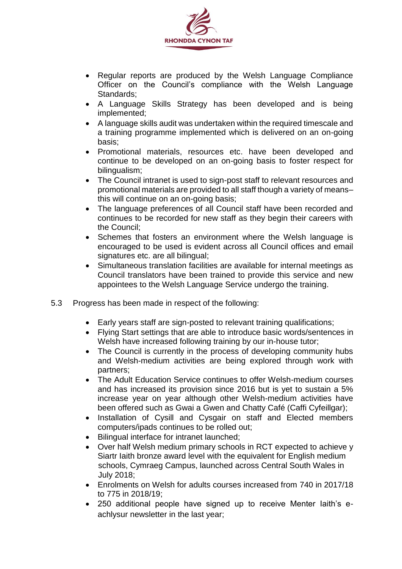

- Regular reports are produced by the Welsh Language Compliance Officer on the Council's compliance with the Welsh Language Standards;
- A Language Skills Strategy has been developed and is being implemented;
- A language skills audit was undertaken within the required timescale and a training programme implemented which is delivered on an on-going basis;
- Promotional materials, resources etc. have been developed and continue to be developed on an on-going basis to foster respect for bilingualism;
- The Council intranet is used to sign-post staff to relevant resources and promotional materials are provided to all staff though a variety of means– this will continue on an on-going basis;
- The language preferences of all Council staff have been recorded and continues to be recorded for new staff as they begin their careers with the Council;
- Schemes that fosters an environment where the Welsh language is encouraged to be used is evident across all Council offices and email signatures etc. are all bilingual;
- Simultaneous translation facilities are available for internal meetings as Council translators have been trained to provide this service and new appointees to the Welsh Language Service undergo the training.
- 5.3 Progress has been made in respect of the following:
	- Early years staff are sign-posted to relevant training qualifications;
	- Flying Start settings that are able to introduce basic words/sentences in Welsh have increased following training by our in-house tutor;
	- The Council is currently in the process of developing community hubs and Welsh-medium activities are being explored through work with partners;
	- The Adult Education Service continues to offer Welsh-medium courses and has increased its provision since 2016 but is yet to sustain a 5% increase year on year although other Welsh-medium activities have been offered such as Gwai a Gwen and Chatty Café (Caffi Cyfeillgar);
	- Installation of Cysill and Cysgair on staff and Elected members computers/ipads continues to be rolled out;
	- Bilingual interface for intranet launched;
	- Over half Welsh medium primary schools in RCT expected to achieve y Siartr Iaith bronze award level with the equivalent for English medium schools, Cymraeg Campus, launched across Central South Wales in July 2018;
	- Enrolments on Welsh for adults courses increased from 740 in 2017/18 to 775 in 2018/19;
	- 250 additional people have signed up to receive Menter Iaith's eachlysur newsletter in the last year;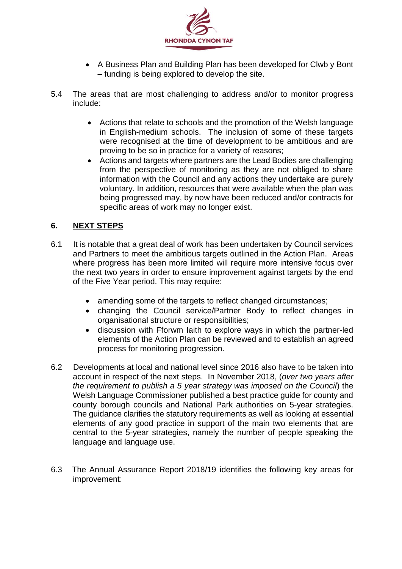

- A Business Plan and Building Plan has been developed for Clwb y Bont – funding is being explored to develop the site.
- 5.4 The areas that are most challenging to address and/or to monitor progress include:
	- Actions that relate to schools and the promotion of the Welsh language in English-medium schools. The inclusion of some of these targets were recognised at the time of development to be ambitious and are proving to be so in practice for a variety of reasons;
	- Actions and targets where partners are the Lead Bodies are challenging from the perspective of monitoring as they are not obliged to share information with the Council and any actions they undertake are purely voluntary. In addition, resources that were available when the plan was being progressed may, by now have been reduced and/or contracts for specific areas of work may no longer exist.

## **6. NEXT STEPS**

- 6.1 It is notable that a great deal of work has been undertaken by Council services and Partners to meet the ambitious targets outlined in the Action Plan. Areas where progress has been more limited will require more intensive focus over the next two years in order to ensure improvement against targets by the end of the Five Year period. This may require:
	- amending some of the targets to reflect changed circumstances;
	- changing the Council service/Partner Body to reflect changes in organisational structure or responsibilities;
	- discussion with Fforwm Iaith to explore ways in which the partner-led elements of the Action Plan can be reviewed and to establish an agreed process for monitoring progression.
- 6.2 Developments at local and national level since 2016 also have to be taken into account in respect of the next steps. In November 2018, (*over two years after the requirement to publish a 5 year strategy was imposed on the Council*) the Welsh Language Commissioner published a best practice guide for county and county borough councils and National Park authorities on 5-year strategies. The guidance clarifies the statutory requirements as well as looking at essential elements of any good practice in support of the main two elements that are central to the 5-year strategies, namely the number of people speaking the language and language use.
- 6.3 The Annual Assurance Report 2018/19 identifies the following key areas for improvement: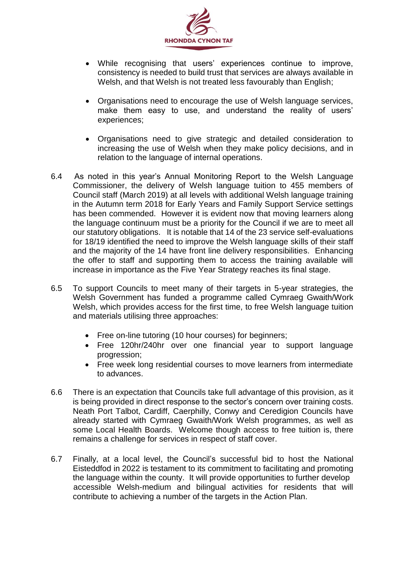

- While recognising that users' experiences continue to improve, consistency is needed to build trust that services are always available in Welsh, and that Welsh is not treated less favourably than English;
- Organisations need to encourage the use of Welsh language services, make them easy to use, and understand the reality of users' experiences;
- Organisations need to give strategic and detailed consideration to increasing the use of Welsh when they make policy decisions, and in relation to the language of internal operations.
- 6.4 As noted in this year's Annual Monitoring Report to the Welsh Language Commissioner, the delivery of Welsh language tuition to 455 members of Council staff (March 2019) at all levels with additional Welsh language training in the Autumn term 2018 for Early Years and Family Support Service settings has been commended. However it is evident now that moving learners along the language continuum must be a priority for the Council if we are to meet all our statutory obligations. It is notable that 14 of the 23 service self-evaluations for 18/19 identified the need to improve the Welsh language skills of their staff and the majority of the 14 have front line delivery responsibilities. Enhancing the offer to staff and supporting them to access the training available will increase in importance as the Five Year Strategy reaches its final stage.
- 6.5 To support Councils to meet many of their targets in 5-year strategies, the Welsh Government has funded a programme called Cymraeg Gwaith/Work Welsh, which provides access for the first time, to free Welsh language tuition and materials utilising three approaches:
	- Free on-line tutoring (10 hour courses) for beginners;
	- Free 120hr/240hr over one financial year to support language progression;
	- Free week long residential courses to move learners from intermediate to advances.
- 6.6 There is an expectation that Councils take full advantage of this provision, as it is being provided in direct response to the sector's concern over training costs. Neath Port Talbot, Cardiff, Caerphilly, Conwy and Ceredigion Councils have already started with Cymraeg Gwaith/Work Welsh programmes, as well as some Local Health Boards. Welcome though access to free tuition is, there remains a challenge for services in respect of staff cover.
- 6.7 Finally, at a local level, the Council's successful bid to host the National Eisteddfod in 2022 is testament to its commitment to facilitating and promoting the language within the county. It will provide opportunities to further develop accessible Welsh-medium and bilingual activities for residents that will contribute to achieving a number of the targets in the Action Plan.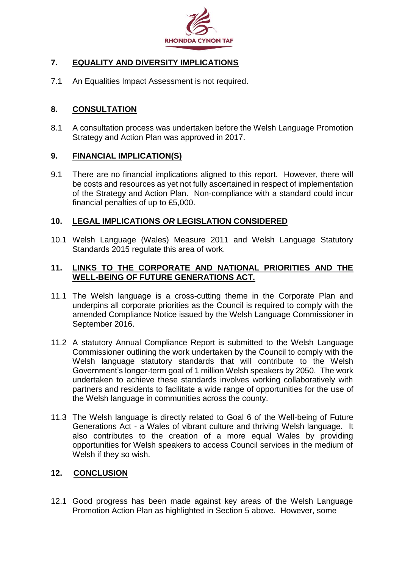

## **7. EQUALITY AND DIVERSITY IMPLICATIONS**

7.1 An Equalities Impact Assessment is not required.

#### **8. CONSULTATION**

8.1 A consultation process was undertaken before the Welsh Language Promotion Strategy and Action Plan was approved in 2017.

#### **9. FINANCIAL IMPLICATION(S)**

9.1 There are no financial implications aligned to this report. However, there will be costs and resources as yet not fully ascertained in respect of implementation of the Strategy and Action Plan. Non-compliance with a standard could incur financial penalties of up to £5,000.

#### **10. LEGAL IMPLICATIONS** *OR* **LEGISLATION CONSIDERED**

10.1 Welsh Language (Wales) Measure 2011 and Welsh Language Statutory Standards 2015 regulate this area of work.

#### **11. LINKS TO THE CORPORATE AND NATIONAL PRIORITIES AND THE WELL-BEING OF FUTURE GENERATIONS ACT.**

- 11.1 The Welsh language is a cross-cutting theme in the Corporate Plan and underpins all corporate priorities as the Council is required to comply with the amended Compliance Notice issued by the Welsh Language Commissioner in September 2016.
- 11.2 A statutory Annual Compliance Report is submitted to the Welsh Language Commissioner outlining the work undertaken by the Council to comply with the Welsh language statutory standards that will contribute to the Welsh Government's longer-term goal of 1 million Welsh speakers by 2050. The work undertaken to achieve these standards involves working collaboratively with partners and residents to facilitate a wide range of opportunities for the use of the Welsh language in communities across the county.
- 11.3 The Welsh language is directly related to Goal 6 of the Well-being of Future Generations Act - a Wales of vibrant culture and thriving Welsh language. It also contributes to the creation of a more equal Wales by providing opportunities for Welsh speakers to access Council services in the medium of Welsh if they so wish.

#### **12. CONCLUSION**

12.1 Good progress has been made against key areas of the Welsh Language Promotion Action Plan as highlighted in Section 5 above. However, some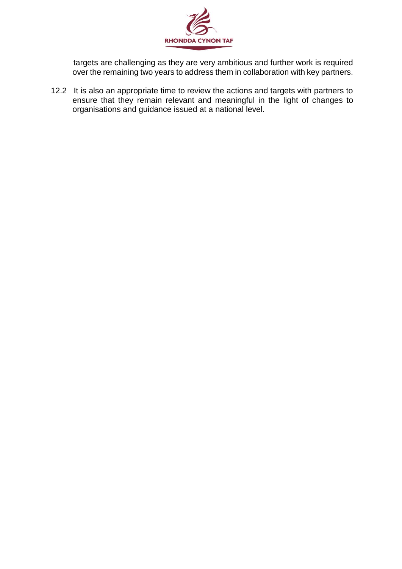

 targets are challenging as they are very ambitious and further work is required over the remaining two years to address them in collaboration with key partners.

12.2 It is also an appropriate time to review the actions and targets with partners to ensure that they remain relevant and meaningful in the light of changes to organisations and guidance issued at a national level.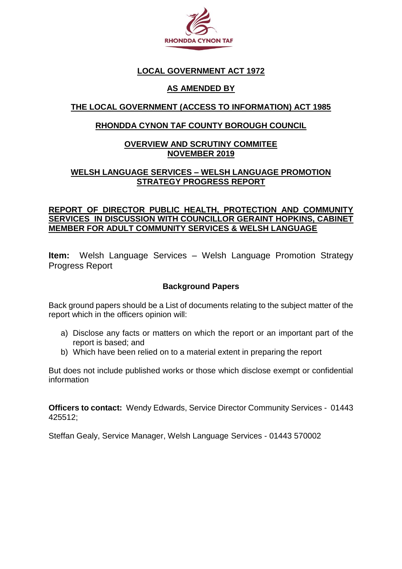

# **LOCAL GOVERNMENT ACT 1972**

## **AS AMENDED BY**

## **THE LOCAL GOVERNMENT (ACCESS TO INFORMATION) ACT 1985**

## **RHONDDA CYNON TAF COUNTY BOROUGH COUNCIL**

### **OVERVIEW AND SCRUTINY COMMITEE NOVEMBER 2019**

## **WELSH LANGUAGE SERVICES – WELSH LANGUAGE PROMOTION STRATEGY PROGRESS REPORT**

## **REPORT OF DIRECTOR PUBLIC HEALTH, PROTECTION AND COMMUNITY SERVICES IN DISCUSSION WITH COUNCILLOR GERAINT HOPKINS, CABINET MEMBER FOR ADULT COMMUNITY SERVICES & WELSH LANGUAGE**

**Item:** Welsh Language Services – Welsh Language Promotion Strategy Progress Report

## **Background Papers**

Back ground papers should be a List of documents relating to the subject matter of the report which in the officers opinion will:

- a) Disclose any facts or matters on which the report or an important part of the report is based; and
- b) Which have been relied on to a material extent in preparing the report

But does not include published works or those which disclose exempt or confidential information

**Officers to contact:** Wendy Edwards, Service Director Community Services - 01443 425512;

Steffan Gealy, Service Manager, Welsh Language Services - 01443 570002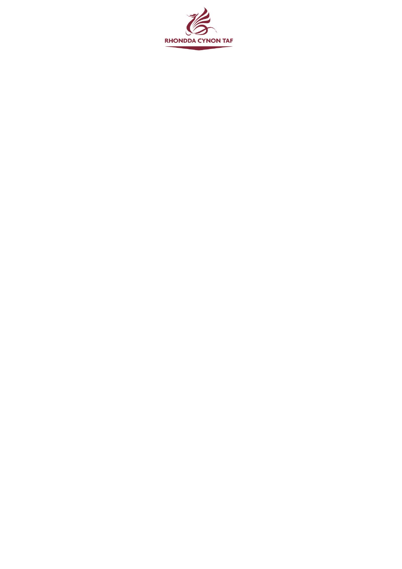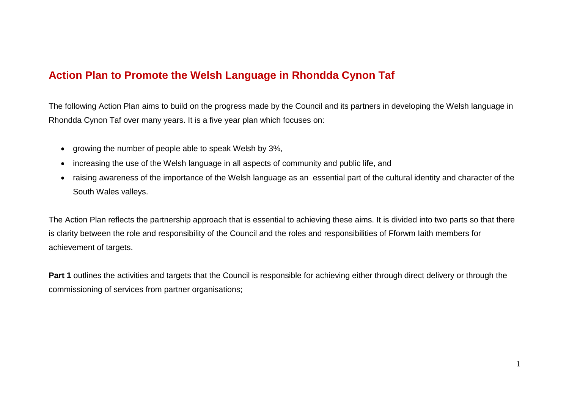# **Action Plan to Promote the Welsh Language in Rhondda Cynon Taf**

The following Action Plan aims to build on the progress made by the Council and its partners in developing the Welsh language in Rhondda Cynon Taf over many years. It is a five year plan which focuses on:

- growing the number of people able to speak Welsh by 3%,
- increasing the use of the Welsh language in all aspects of community and public life, and
- raising awareness of the importance of the Welsh language as an essential part of the cultural identity and character of the South Wales valleys.

The Action Plan reflects the partnership approach that is essential to achieving these aims. It is divided into two parts so that there is clarity between the role and responsibility of the Council and the roles and responsibilities of Fforwm Iaith members for achievement of targets.

**Part 1** outlines the activities and targets that the Council is responsible for achieving either through direct delivery or through the commissioning of services from partner organisations;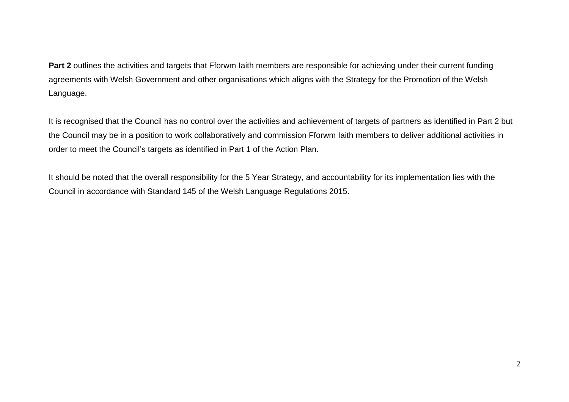Part 2 outlines the activities and targets that Fforwm laith members are responsible for achieving under their current funding agreements with Welsh Government and other organisations which aligns with the Strategy for the Promotion of the Welsh Language.

It is recognised that the Council has no control over the activities and achievement of targets of partners as identified in Part 2 but the Council may be in a position to work collaboratively and commission Fforwm Iaith members to deliver additional activities in order to meet the Council's targets as identified in Part 1 of the Action Plan.

It should be noted that the overall responsibility for the 5 Year Strategy, and accountability for its implementation lies with the Council in accordance with Standard 145 of the Welsh Language Regulations 2015.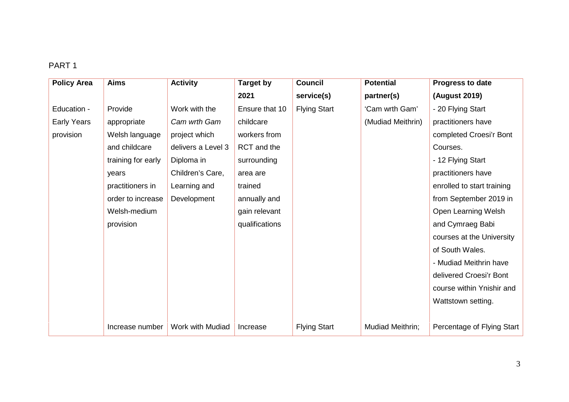# PART 1

| <b>Policy Area</b> | <b>Aims</b>        | <b>Activity</b>    | <b>Target by</b>   | <b>Council</b>      | <b>Potential</b>        | <b>Progress to date</b>    |
|--------------------|--------------------|--------------------|--------------------|---------------------|-------------------------|----------------------------|
|                    |                    |                    | 2021               | service(s)          | partner(s)              | (August 2019)              |
| Education -        | Provide            | Work with the      | Ensure that 10     | <b>Flying Start</b> | 'Cam wrth Gam'          | - 20 Flying Start          |
| <b>Early Years</b> | appropriate        | Cam wrth Gam       | childcare          |                     | (Mudiad Meithrin)       | practitioners have         |
| provision          | Welsh language     | project which      | workers from       |                     |                         | completed Croesi'r Bont    |
|                    | and childcare      | delivers a Level 3 | <b>RCT</b> and the |                     |                         | Courses.                   |
|                    | training for early | Diploma in         | surrounding        |                     |                         | - 12 Flying Start          |
|                    | years              | Children's Care,   | area are           |                     |                         | practitioners have         |
|                    | practitioners in   | Learning and       | trained            |                     |                         | enrolled to start training |
|                    | order to increase  | Development        | annually and       |                     |                         | from September 2019 in     |
|                    | Welsh-medium       |                    | gain relevant      |                     |                         | Open Learning Welsh        |
|                    | provision          |                    | qualifications     |                     |                         | and Cymraeg Babi           |
|                    |                    |                    |                    |                     |                         | courses at the University  |
|                    |                    |                    |                    |                     |                         | of South Wales.            |
|                    |                    |                    |                    |                     |                         | - Mudiad Meithrin have     |
|                    |                    |                    |                    |                     |                         | delivered Croesi'r Bont    |
|                    |                    |                    |                    |                     |                         | course within Ynishir and  |
|                    |                    |                    |                    |                     |                         | Wattstown setting.         |
|                    |                    |                    |                    |                     |                         |                            |
|                    | Increase number    | Work with Mudiad   | Increase           | <b>Flying Start</b> | <b>Mudiad Meithrin;</b> | Percentage of Flying Start |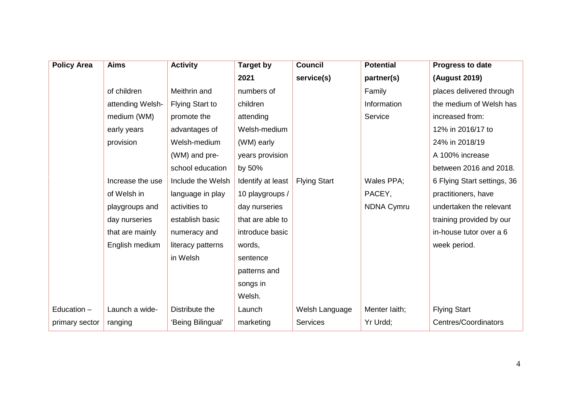| <b>Policy Area</b> | <b>Aims</b>      | <b>Activity</b>        | <b>Target by</b>  | <b>Council</b>      | <b>Potential</b>  | Progress to date            |
|--------------------|------------------|------------------------|-------------------|---------------------|-------------------|-----------------------------|
|                    |                  |                        | 2021              | service(s)          | partner(s)        | (August 2019)               |
|                    | of children      | Meithrin and           | numbers of        |                     | Family            | places delivered through    |
|                    | attending Welsh- | <b>Flying Start to</b> | children          |                     | Information       | the medium of Welsh has     |
|                    | medium (WM)      | promote the            | attending         |                     | Service           | increased from:             |
|                    | early years      | advantages of          | Welsh-medium      |                     |                   | 12% in 2016/17 to           |
|                    | provision        | Welsh-medium           | (WM) early        |                     |                   | 24% in 2018/19              |
|                    |                  | (WM) and pre-          | years provision   |                     |                   | A 100% increase             |
|                    |                  | school education       | by 50%            |                     |                   | between 2016 and 2018.      |
|                    | Increase the use | Include the Welsh      | Identify at least | <b>Flying Start</b> | Wales PPA;        | 6 Flying Start settings, 36 |
|                    | of Welsh in      | language in play       | 10 playgroups /   |                     | PACEY,            | practitioners, have         |
|                    | playgroups and   | activities to          | day nurseries     |                     | <b>NDNA Cymru</b> | undertaken the relevant     |
|                    | day nurseries    | establish basic        | that are able to  |                     |                   | training provided by our    |
|                    | that are mainly  | numeracy and           | introduce basic   |                     |                   | in-house tutor over a 6     |
|                    | English medium   | literacy patterns      | words,            |                     |                   | week period.                |
|                    |                  | in Welsh               | sentence          |                     |                   |                             |
|                    |                  |                        | patterns and      |                     |                   |                             |
|                    |                  |                        | songs in          |                     |                   |                             |
|                    |                  |                        | Welsh.            |                     |                   |                             |
| Education -        | Launch a wide-   | Distribute the         | Launch            | Welsh Language      | Menter laith;     | <b>Flying Start</b>         |
| primary sector     | ranging          | 'Being Bilingual'      | marketing         | <b>Services</b>     | Yr Urdd:          | Centres/Coordinators        |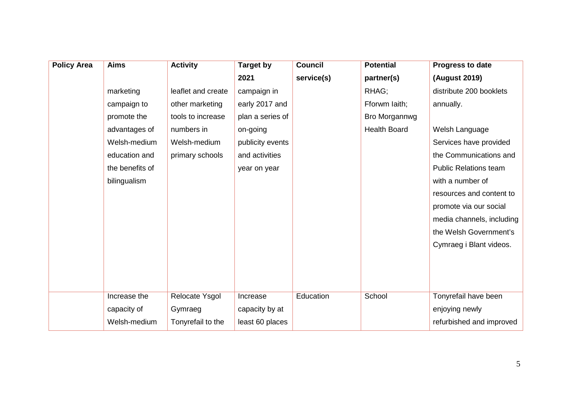| <b>Policy Area</b> | <b>Aims</b>     | <b>Activity</b>    | <b>Target by</b> | <b>Council</b> | <b>Potential</b>    | Progress to date             |
|--------------------|-----------------|--------------------|------------------|----------------|---------------------|------------------------------|
|                    |                 |                    | 2021             | service(s)     | partner(s)          | (August 2019)                |
|                    | marketing       | leaflet and create | campaign in      |                | RHAG;               | distribute 200 booklets      |
|                    | campaign to     | other marketing    | early 2017 and   |                | Fforwm laith;       | annually.                    |
|                    | promote the     | tools to increase  | plan a series of |                | Bro Morgannwg       |                              |
|                    | advantages of   | numbers in         | on-going         |                | <b>Health Board</b> | Welsh Language               |
|                    | Welsh-medium    | Welsh-medium       | publicity events |                |                     | Services have provided       |
|                    | education and   | primary schools    | and activities   |                |                     | the Communications and       |
|                    | the benefits of |                    | year on year     |                |                     | <b>Public Relations team</b> |
|                    | bilingualism    |                    |                  |                |                     | with a number of             |
|                    |                 |                    |                  |                |                     | resources and content to     |
|                    |                 |                    |                  |                |                     | promote via our social       |
|                    |                 |                    |                  |                |                     | media channels, including    |
|                    |                 |                    |                  |                |                     | the Welsh Government's       |
|                    |                 |                    |                  |                |                     | Cymraeg i Blant videos.      |
|                    |                 |                    |                  |                |                     |                              |
|                    |                 |                    |                  |                |                     |                              |
|                    |                 |                    |                  |                |                     |                              |
|                    | Increase the    | Relocate Ysgol     | Increase         | Education      | School              | Tonyrefail have been         |
|                    | capacity of     | Gymraeg            | capacity by at   |                |                     | enjoying newly               |
|                    | Welsh-medium    | Tonyrefail to the  | least 60 places  |                |                     | refurbished and improved     |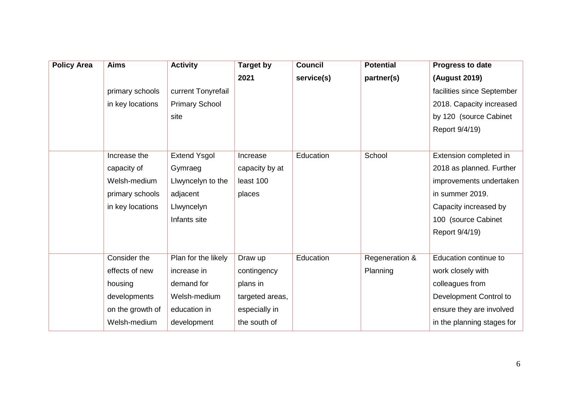| <b>Policy Area</b> | <b>Aims</b>      | <b>Activity</b>       | <b>Target by</b> | <b>Council</b> | <b>Potential</b> | Progress to date           |
|--------------------|------------------|-----------------------|------------------|----------------|------------------|----------------------------|
|                    |                  |                       | 2021             | service(s)     | partner(s)       | (August 2019)              |
|                    | primary schools  | current Tonyrefail    |                  |                |                  | facilities since September |
|                    | in key locations | <b>Primary School</b> |                  |                |                  | 2018. Capacity increased   |
|                    |                  | site                  |                  |                |                  | by 120 (source Cabinet     |
|                    |                  |                       |                  |                |                  | Report 9/4/19)             |
|                    |                  |                       |                  |                |                  |                            |
|                    | Increase the     | <b>Extend Ysgol</b>   | Increase         | Education      | School           | Extension completed in     |
|                    | capacity of      | Gymraeg               | capacity by at   |                |                  | 2018 as planned. Further   |
|                    | Welsh-medium     | Llwyncelyn to the     | least 100        |                |                  | improvements undertaken    |
|                    | primary schools  | adjacent              | places           |                |                  | in summer 2019.            |
|                    | in key locations | Llwyncelyn            |                  |                |                  | Capacity increased by      |
|                    |                  | Infants site          |                  |                |                  | 100 (source Cabinet        |
|                    |                  |                       |                  |                |                  | Report 9/4/19)             |
|                    |                  |                       |                  |                |                  |                            |
|                    | Consider the     | Plan for the likely   | Draw up          | Education      | Regeneration &   | Education continue to      |
|                    | effects of new   | increase in           | contingency      |                | Planning         | work closely with          |
|                    | housing          | demand for            | plans in         |                |                  | colleagues from            |
|                    | developments     | Welsh-medium          | targeted areas,  |                |                  | Development Control to     |
|                    | on the growth of | education in          | especially in    |                |                  | ensure they are involved   |
|                    | Welsh-medium     | development           | the south of     |                |                  | in the planning stages for |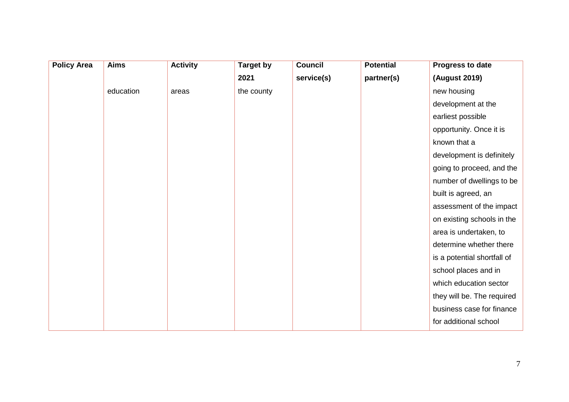| service(s)<br>2021<br>partner(s)<br>(August 2019)<br>education<br>the county<br>new housing<br>areas<br>development at the<br>earliest possible<br>opportunity. Once it is<br>known that a<br>built is agreed, an | <b>Policy Area</b> | <b>Aims</b> | <b>Activity</b> | <b>Target by</b> | <b>Council</b> | <b>Potential</b> | <b>Progress to date</b>    |
|-------------------------------------------------------------------------------------------------------------------------------------------------------------------------------------------------------------------|--------------------|-------------|-----------------|------------------|----------------|------------------|----------------------------|
|                                                                                                                                                                                                                   |                    |             |                 |                  |                |                  |                            |
|                                                                                                                                                                                                                   |                    |             |                 |                  |                |                  |                            |
|                                                                                                                                                                                                                   |                    |             |                 |                  |                |                  |                            |
|                                                                                                                                                                                                                   |                    |             |                 |                  |                |                  |                            |
|                                                                                                                                                                                                                   |                    |             |                 |                  |                |                  |                            |
|                                                                                                                                                                                                                   |                    |             |                 |                  |                |                  |                            |
|                                                                                                                                                                                                                   |                    |             |                 |                  |                |                  | development is definitely  |
|                                                                                                                                                                                                                   |                    |             |                 |                  |                |                  | going to proceed, and the  |
|                                                                                                                                                                                                                   |                    |             |                 |                  |                |                  | number of dwellings to be  |
|                                                                                                                                                                                                                   |                    |             |                 |                  |                |                  |                            |
|                                                                                                                                                                                                                   |                    |             |                 |                  |                |                  | assessment of the impact   |
|                                                                                                                                                                                                                   |                    |             |                 |                  |                |                  | on existing schools in the |
| area is undertaken, to                                                                                                                                                                                            |                    |             |                 |                  |                |                  |                            |
| determine whether there                                                                                                                                                                                           |                    |             |                 |                  |                |                  |                            |
| is a potential shortfall of                                                                                                                                                                                       |                    |             |                 |                  |                |                  |                            |
| school places and in                                                                                                                                                                                              |                    |             |                 |                  |                |                  |                            |
| which education sector                                                                                                                                                                                            |                    |             |                 |                  |                |                  |                            |
|                                                                                                                                                                                                                   |                    |             |                 |                  |                |                  | they will be. The required |
|                                                                                                                                                                                                                   |                    |             |                 |                  |                |                  | business case for finance  |
| for additional school                                                                                                                                                                                             |                    |             |                 |                  |                |                  |                            |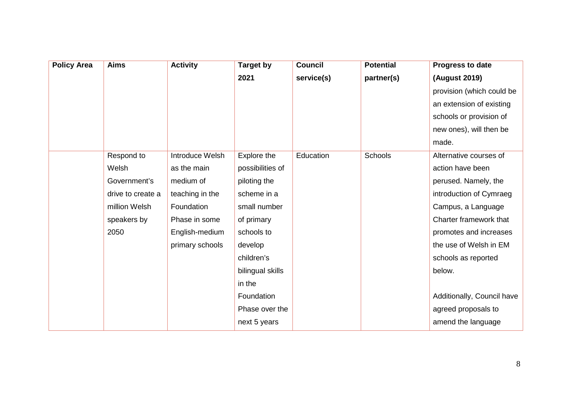| <b>Policy Area</b> | <b>Aims</b>       | <b>Activity</b> | <b>Target by</b> | <b>Council</b> | <b>Potential</b> | Progress to date           |
|--------------------|-------------------|-----------------|------------------|----------------|------------------|----------------------------|
|                    |                   |                 | 2021             | service(s)     | partner(s)       | <b>(August 2019)</b>       |
|                    |                   |                 |                  |                |                  | provision (which could be  |
|                    |                   |                 |                  |                |                  | an extension of existing   |
|                    |                   |                 |                  |                |                  | schools or provision of    |
|                    |                   |                 |                  |                |                  | new ones), will then be    |
|                    |                   |                 |                  |                |                  | made.                      |
|                    | Respond to        | Introduce Welsh | Explore the      | Education      | Schools          | Alternative courses of     |
|                    | Welsh             | as the main     | possibilities of |                |                  | action have been           |
|                    | Government's      | medium of       | piloting the     |                |                  | perused. Namely, the       |
|                    | drive to create a | teaching in the | scheme in a      |                |                  | introduction of Cymraeg    |
|                    | million Welsh     | Foundation      | small number     |                |                  | Campus, a Language         |
|                    | speakers by       | Phase in some   | of primary       |                |                  | Charter framework that     |
|                    | 2050              | English-medium  | schools to       |                |                  | promotes and increases     |
|                    |                   | primary schools | develop          |                |                  | the use of Welsh in EM     |
|                    |                   |                 | children's       |                |                  | schools as reported        |
|                    |                   |                 | bilingual skills |                |                  | below.                     |
|                    |                   |                 | in the           |                |                  |                            |
|                    |                   |                 | Foundation       |                |                  | Additionally, Council have |
|                    |                   |                 | Phase over the   |                |                  | agreed proposals to        |
|                    |                   |                 | next 5 years     |                |                  | amend the language         |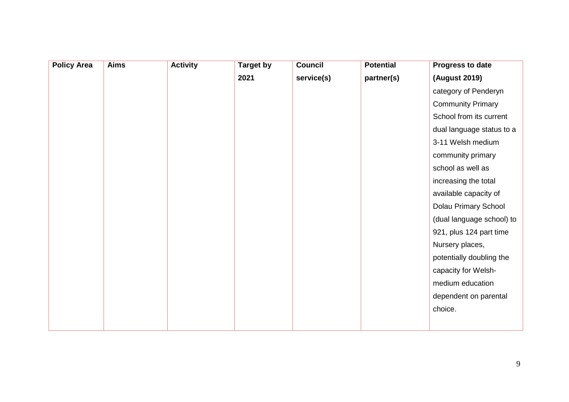| <b>Policy Area</b> | <b>Aims</b> | <b>Activity</b> | <b>Target by</b> | <b>Council</b> | <b>Potential</b> | <b>Progress to date</b>   |
|--------------------|-------------|-----------------|------------------|----------------|------------------|---------------------------|
|                    |             |                 | 2021             | service(s)     | partner(s)       | <b>(August 2019)</b>      |
|                    |             |                 |                  |                |                  | category of Penderyn      |
|                    |             |                 |                  |                |                  | <b>Community Primary</b>  |
|                    |             |                 |                  |                |                  | School from its current   |
|                    |             |                 |                  |                |                  | dual language status to a |
|                    |             |                 |                  |                |                  | 3-11 Welsh medium         |
|                    |             |                 |                  |                |                  | community primary         |
|                    |             |                 |                  |                |                  | school as well as         |
|                    |             |                 |                  |                |                  | increasing the total      |
|                    |             |                 |                  |                |                  | available capacity of     |
|                    |             |                 |                  |                |                  | Dolau Primary School      |
|                    |             |                 |                  |                |                  | (dual language school) to |
|                    |             |                 |                  |                |                  | 921, plus 124 part time   |
|                    |             |                 |                  |                |                  | Nursery places,           |
|                    |             |                 |                  |                |                  | potentially doubling the  |
|                    |             |                 |                  |                |                  | capacity for Welsh-       |
|                    |             |                 |                  |                |                  | medium education          |
|                    |             |                 |                  |                |                  | dependent on parental     |
|                    |             |                 |                  |                |                  | choice.                   |
|                    |             |                 |                  |                |                  |                           |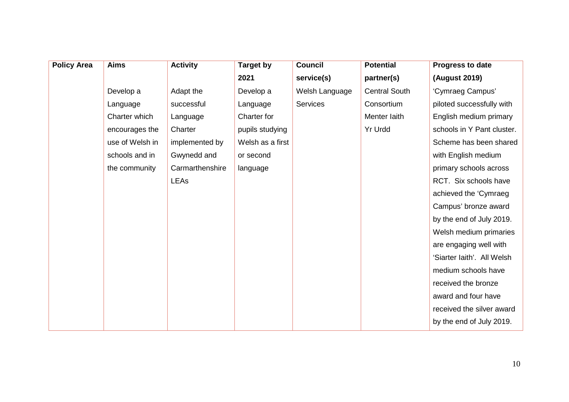| <b>Policy Area</b> | <b>Aims</b>     | <b>Activity</b> | <b>Target by</b> | <b>Council</b>  | <b>Potential</b>     | Progress to date           |
|--------------------|-----------------|-----------------|------------------|-----------------|----------------------|----------------------------|
|                    |                 |                 | 2021             | service(s)      | partner(s)           | (August 2019)              |
|                    | Develop a       | Adapt the       | Develop a        | Welsh Language  | <b>Central South</b> | 'Cymraeg Campus'           |
|                    | Language        | successful      | Language         | <b>Services</b> | Consortium           | piloted successfully with  |
|                    | Charter which   | Language        | Charter for      |                 | Menter laith         | English medium primary     |
|                    | encourages the  | Charter         | pupils studying  |                 | Yr Urdd              | schools in Y Pant cluster. |
|                    | use of Welsh in | implemented by  | Welsh as a first |                 |                      | Scheme has been shared     |
|                    | schools and in  | Gwynedd and     | or second        |                 |                      | with English medium        |
|                    | the community   | Carmarthenshire | language         |                 |                      | primary schools across     |
|                    |                 | LEAs            |                  |                 |                      | RCT. Six schools have      |
|                    |                 |                 |                  |                 |                      | achieved the 'Cymraeg      |
|                    |                 |                 |                  |                 |                      | Campus' bronze award       |
|                    |                 |                 |                  |                 |                      | by the end of July 2019.   |
|                    |                 |                 |                  |                 |                      | Welsh medium primaries     |
|                    |                 |                 |                  |                 |                      | are engaging well with     |
|                    |                 |                 |                  |                 |                      | 'Siarter laith'. All Welsh |
|                    |                 |                 |                  |                 |                      | medium schools have        |
|                    |                 |                 |                  |                 |                      | received the bronze        |
|                    |                 |                 |                  |                 |                      | award and four have        |
|                    |                 |                 |                  |                 |                      | received the silver award  |
|                    |                 |                 |                  |                 |                      | by the end of July 2019.   |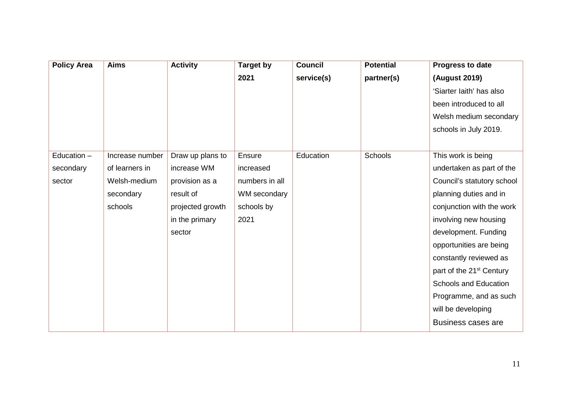| <b>Policy Area</b> | <b>Aims</b>     | <b>Activity</b>  | <b>Target by</b> | <b>Council</b> | <b>Potential</b> | Progress to date                     |
|--------------------|-----------------|------------------|------------------|----------------|------------------|--------------------------------------|
|                    |                 |                  | 2021             | service(s)     | partner(s)       | (August 2019)                        |
|                    |                 |                  |                  |                |                  | 'Siarter laith' has also             |
|                    |                 |                  |                  |                |                  | been introduced to all               |
|                    |                 |                  |                  |                |                  | Welsh medium secondary               |
|                    |                 |                  |                  |                |                  | schools in July 2019.                |
|                    |                 |                  |                  |                |                  |                                      |
| Education -        | Increase number | Draw up plans to | Ensure           | Education      | Schools          | This work is being                   |
| secondary          | of learners in  | increase WM      | increased        |                |                  | undertaken as part of the            |
| sector             | Welsh-medium    | provision as a   | numbers in all   |                |                  | Council's statutory school           |
|                    | secondary       | result of        | WM secondary     |                |                  | planning duties and in               |
|                    | schools         | projected growth | schools by       |                |                  | conjunction with the work            |
|                    |                 | in the primary   | 2021             |                |                  | involving new housing                |
|                    |                 | sector           |                  |                |                  | development. Funding                 |
|                    |                 |                  |                  |                |                  | opportunities are being              |
|                    |                 |                  |                  |                |                  | constantly reviewed as               |
|                    |                 |                  |                  |                |                  | part of the 21 <sup>st</sup> Century |
|                    |                 |                  |                  |                |                  | <b>Schools and Education</b>         |
|                    |                 |                  |                  |                |                  | Programme, and as such               |
|                    |                 |                  |                  |                |                  | will be developing                   |
|                    |                 |                  |                  |                |                  | Business cases are                   |
|                    |                 |                  |                  |                |                  |                                      |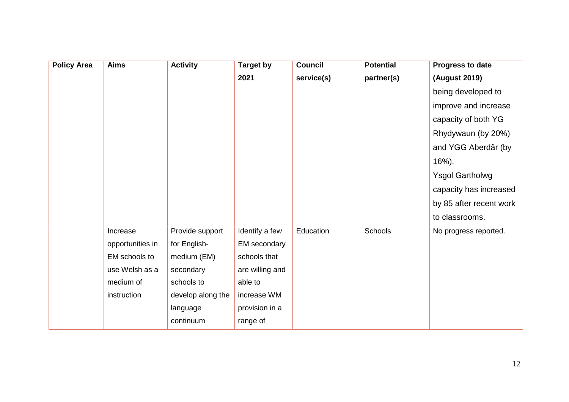| <b>Policy Area</b> | <b>Aims</b>      | <b>Activity</b>   | <b>Target by</b>    | <b>Council</b> | <b>Potential</b> | <b>Progress to date</b> |
|--------------------|------------------|-------------------|---------------------|----------------|------------------|-------------------------|
|                    |                  |                   | 2021                | service(s)     | partner(s)       | (August 2019)           |
|                    |                  |                   |                     |                |                  | being developed to      |
|                    |                  |                   |                     |                |                  | improve and increase    |
|                    |                  |                   |                     |                |                  | capacity of both YG     |
|                    |                  |                   |                     |                |                  | Rhydywaun (by 20%)      |
|                    |                  |                   |                     |                |                  | and YGG Aberdâr (by     |
|                    |                  |                   |                     |                |                  | $16%$ ).                |
|                    |                  |                   |                     |                |                  | <b>Ysgol Gartholwg</b>  |
|                    |                  |                   |                     |                |                  | capacity has increased  |
|                    |                  |                   |                     |                |                  | by 85 after recent work |
|                    |                  |                   |                     |                |                  | to classrooms.          |
|                    | Increase         | Provide support   | Identify a few      | Education      | Schools          | No progress reported.   |
|                    | opportunities in | for English-      | <b>EM</b> secondary |                |                  |                         |
|                    | EM schools to    | medium (EM)       | schools that        |                |                  |                         |
|                    | use Welsh as a   | secondary         | are willing and     |                |                  |                         |
|                    | medium of        | schools to        | able to             |                |                  |                         |
|                    | instruction      | develop along the | increase WM         |                |                  |                         |
|                    |                  | language          | provision in a      |                |                  |                         |
|                    |                  | continuum         | range of            |                |                  |                         |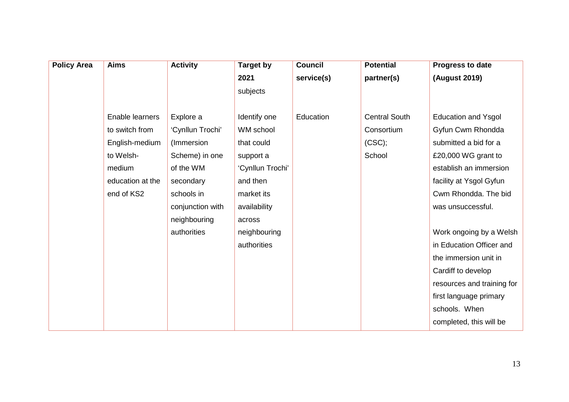| <b>Policy Area</b> | <b>Aims</b>      | <b>Activity</b>  | <b>Target by</b><br>2021<br>subjects | <b>Council</b><br>service(s) | <b>Potential</b><br>partner(s) | Progress to date<br>(August 2019) |
|--------------------|------------------|------------------|--------------------------------------|------------------------------|--------------------------------|-----------------------------------|
|                    | Enable learners  | Explore a        | Identify one                         | Education                    | <b>Central South</b>           | <b>Education and Ysgol</b>        |
|                    | to switch from   | 'Cynllun Trochi' | WM school                            |                              | Consortium                     | Gyfun Cwm Rhondda                 |
|                    | English-medium   | (Immersion       | that could                           |                              | (CSC);                         | submitted a bid for a             |
|                    | to Welsh-        | Scheme) in one   | support a                            |                              | School                         | £20,000 WG grant to               |
|                    | medium           | of the WM        | 'Cynllun Trochi'                     |                              |                                | establish an immersion            |
|                    | education at the | secondary        | and then                             |                              |                                | facility at Ysgol Gyfun           |
|                    | end of KS2       | schools in       | market its                           |                              |                                | Cwm Rhondda. The bid              |
|                    |                  | conjunction with | availability                         |                              |                                | was unsuccessful.                 |
|                    |                  | neighbouring     | across                               |                              |                                |                                   |
|                    |                  | authorities      | neighbouring                         |                              |                                | Work ongoing by a Welsh           |
|                    |                  |                  | authorities                          |                              |                                | in Education Officer and          |
|                    |                  |                  |                                      |                              |                                | the immersion unit in             |
|                    |                  |                  |                                      |                              |                                | Cardiff to develop                |
|                    |                  |                  |                                      |                              |                                | resources and training for        |
|                    |                  |                  |                                      |                              |                                | first language primary            |
|                    |                  |                  |                                      |                              |                                | schools. When                     |
|                    |                  |                  |                                      |                              |                                | completed, this will be           |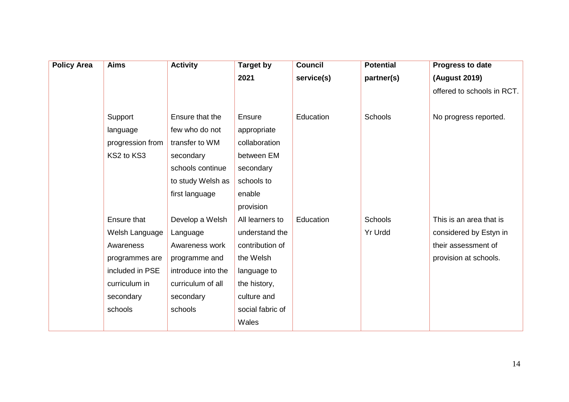| <b>Activity</b><br><b>Target by</b><br><b>Council</b><br><b>Potential</b><br><b>Policy Area</b><br><b>Aims</b><br>Progress to date |  |
|------------------------------------------------------------------------------------------------------------------------------------|--|
| 2021<br>service(s)<br>partner(s)<br>(August 2019)                                                                                  |  |
| offered to schools in RCT.                                                                                                         |  |
|                                                                                                                                    |  |
| Ensure that the<br>Ensure<br>Education<br>Schools<br>Support<br>No progress reported.                                              |  |
| few who do not<br>language<br>appropriate                                                                                          |  |
| collaboration<br>progression from<br>transfer to WM                                                                                |  |
| KS2 to KS3<br>between EM<br>secondary                                                                                              |  |
| schools continue<br>secondary                                                                                                      |  |
| schools to<br>to study Welsh as                                                                                                    |  |
| first language<br>enable                                                                                                           |  |
| provision                                                                                                                          |  |
| Ensure that<br>Develop a Welsh<br>Education<br>Schools<br>This is an area that is<br>All learners to                               |  |
| Yr Urdd<br>Welsh Language<br>understand the<br>considered by Estyn in<br>Language                                                  |  |
| contribution of<br>their assessment of<br>Awareness<br>Awareness work                                                              |  |
| the Welsh<br>provision at schools.<br>programme and<br>programmes are                                                              |  |
| included in PSE<br>introduce into the<br>language to                                                                               |  |
| curriculum in<br>curriculum of all<br>the history,                                                                                 |  |
| culture and<br>secondary<br>secondary                                                                                              |  |
| schools<br>schools<br>social fabric of                                                                                             |  |
| Wales                                                                                                                              |  |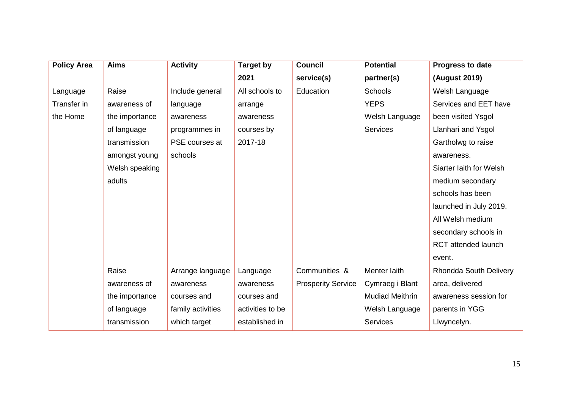| <b>Policy Area</b> | <b>Aims</b>    | <b>Activity</b>   | <b>Target by</b> | <b>Council</b>            | <b>Potential</b>       | Progress to date           |
|--------------------|----------------|-------------------|------------------|---------------------------|------------------------|----------------------------|
|                    |                |                   | 2021             | service(s)                | partner(s)             | (August 2019)              |
| Language           | Raise          | Include general   | All schools to   | Education                 | <b>Schools</b>         | Welsh Language             |
| Transfer in        | awareness of   | language          | arrange          |                           | <b>YEPS</b>            | Services and EET have      |
| the Home           | the importance | awareness         | awareness        |                           | Welsh Language         | been visited Ysgol         |
|                    | of language    | programmes in     | courses by       |                           | <b>Services</b>        | Llanhari and Ysgol         |
|                    | transmission   | PSE courses at    | 2017-18          |                           |                        | Gartholwg to raise         |
|                    | amongst young  | schools           |                  |                           |                        | awareness.                 |
|                    | Welsh speaking |                   |                  |                           |                        | Siarter laith for Welsh    |
|                    | adults         |                   |                  |                           |                        | medium secondary           |
|                    |                |                   |                  |                           |                        | schools has been           |
|                    |                |                   |                  |                           |                        | launched in July 2019.     |
|                    |                |                   |                  |                           |                        | All Welsh medium           |
|                    |                |                   |                  |                           |                        | secondary schools in       |
|                    |                |                   |                  |                           |                        | <b>RCT</b> attended launch |
|                    |                |                   |                  |                           |                        | event.                     |
|                    | Raise          | Arrange language  | Language         | Communities &             | Menter laith           | Rhondda South Delivery     |
|                    | awareness of   | awareness         | awareness        | <b>Prosperity Service</b> | Cymraeg i Blant        | area, delivered            |
|                    | the importance | courses and       | courses and      |                           | <b>Mudiad Meithrin</b> | awareness session for      |
|                    | of language    | family activities | activities to be |                           | Welsh Language         | parents in YGG             |
|                    | transmission   | which target      | established in   |                           | <b>Services</b>        | Llwyncelyn.                |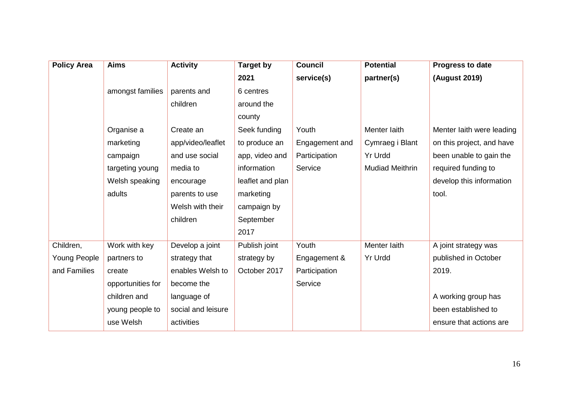| <b>Policy Area</b> | <b>Aims</b>       | <b>Activity</b>    | <b>Target by</b> | <b>Council</b> | <b>Potential</b>       | Progress to date          |
|--------------------|-------------------|--------------------|------------------|----------------|------------------------|---------------------------|
|                    |                   |                    | 2021             | service(s)     | partner(s)             | (August 2019)             |
|                    | amongst families  | parents and        | 6 centres        |                |                        |                           |
|                    |                   | children           | around the       |                |                        |                           |
|                    |                   |                    | county           |                |                        |                           |
|                    | Organise a        | Create an          | Seek funding     | Youth          | Menter laith           | Menter laith were leading |
|                    | marketing         | app/video/leaflet  | to produce an    | Engagement and | Cymraeg i Blant        | on this project, and have |
|                    | campaign          | and use social     | app, video and   | Participation  | <b>Yr Urdd</b>         | been unable to gain the   |
|                    | targeting young   | media to           | information      | Service        | <b>Mudiad Meithrin</b> | required funding to       |
|                    | Welsh speaking    | encourage          | leaflet and plan |                |                        | develop this information  |
|                    | adults            | parents to use     | marketing        |                |                        | tool.                     |
|                    |                   | Welsh with their   | campaign by      |                |                        |                           |
|                    |                   | children           | September        |                |                        |                           |
|                    |                   |                    | 2017             |                |                        |                           |
| Children,          | Work with key     | Develop a joint    | Publish joint    | Youth          | Menter laith           | A joint strategy was      |
| Young People       | partners to       | strategy that      | strategy by      | Engagement &   | <b>Yr Urdd</b>         | published in October      |
| and Families       | create            | enables Welsh to   | October 2017     | Participation  |                        | 2019.                     |
|                    | opportunities for | become the         |                  | Service        |                        |                           |
|                    | children and      | language of        |                  |                |                        | A working group has       |
|                    | young people to   | social and leisure |                  |                |                        | been established to       |
|                    | use Welsh         | activities         |                  |                |                        | ensure that actions are   |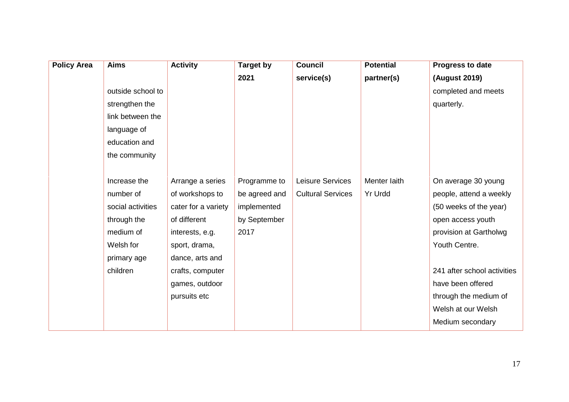| <b>Policy Area</b> | <b>Aims</b><br>outside school to<br>strengthen the<br>link between the<br>language of<br>education and<br>the community | <b>Activity</b>                                                                                                                                                                         | <b>Target by</b><br>2021                                             | <b>Council</b><br>service(s)                 | <b>Potential</b><br>partner(s) | Progress to date<br>(August 2019)<br>completed and meets<br>quarterly.                                                                                                                                                                                          |
|--------------------|-------------------------------------------------------------------------------------------------------------------------|-----------------------------------------------------------------------------------------------------------------------------------------------------------------------------------------|----------------------------------------------------------------------|----------------------------------------------|--------------------------------|-----------------------------------------------------------------------------------------------------------------------------------------------------------------------------------------------------------------------------------------------------------------|
|                    | Increase the<br>number of<br>social activities<br>through the<br>medium of<br>Welsh for<br>primary age<br>children      | Arrange a series<br>of workshops to<br>cater for a variety<br>of different<br>interests, e.g.<br>sport, drama,<br>dance, arts and<br>crafts, computer<br>games, outdoor<br>pursuits etc | Programme to<br>be agreed and<br>implemented<br>by September<br>2017 | Leisure Services<br><b>Cultural Services</b> | Menter laith<br>Yr Urdd        | On average 30 young<br>people, attend a weekly<br>(50 weeks of the year)<br>open access youth<br>provision at Gartholwg<br>Youth Centre.<br>241 after school activities<br>have been offered<br>through the medium of<br>Welsh at our Welsh<br>Medium secondary |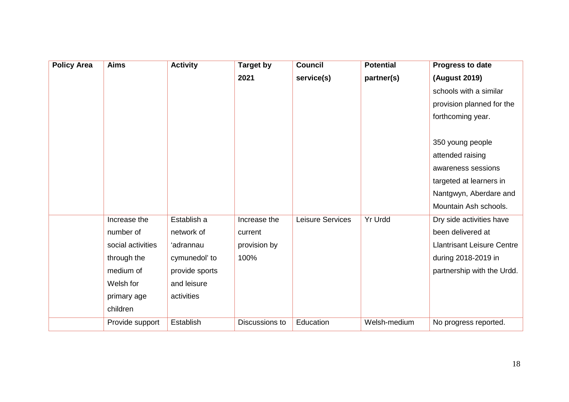| <b>Policy Area</b> | <b>Aims</b>       | <b>Activity</b> | <b>Target by</b> | <b>Council</b>   | <b>Potential</b> | Progress to date                  |
|--------------------|-------------------|-----------------|------------------|------------------|------------------|-----------------------------------|
|                    |                   |                 | 2021             | service(s)       | partner(s)       | (August 2019)                     |
|                    |                   |                 |                  |                  |                  | schools with a similar            |
|                    |                   |                 |                  |                  |                  | provision planned for the         |
|                    |                   |                 |                  |                  |                  | forthcoming year.                 |
|                    |                   |                 |                  |                  |                  |                                   |
|                    |                   |                 |                  |                  |                  | 350 young people                  |
|                    |                   |                 |                  |                  |                  | attended raising                  |
|                    |                   |                 |                  |                  |                  | awareness sessions                |
|                    |                   |                 |                  |                  |                  | targeted at learners in           |
|                    |                   |                 |                  |                  |                  | Nantgwyn, Aberdare and            |
|                    |                   |                 |                  |                  |                  | Mountain Ash schools.             |
|                    | Increase the      | Establish a     | Increase the     | Leisure Services | Yr Urdd          | Dry side activities have          |
|                    | number of         | network of      | current          |                  |                  | been delivered at                 |
|                    | social activities | 'adrannau       | provision by     |                  |                  | <b>Llantrisant Leisure Centre</b> |
|                    | through the       | cymunedol' to   | 100%             |                  |                  | during 2018-2019 in               |
|                    | medium of         | provide sports  |                  |                  |                  | partnership with the Urdd.        |
|                    | Welsh for         | and leisure     |                  |                  |                  |                                   |
|                    | primary age       | activities      |                  |                  |                  |                                   |
|                    | children          |                 |                  |                  |                  |                                   |
|                    | Provide support   | Establish       | Discussions to   | Education        | Welsh-medium     | No progress reported.             |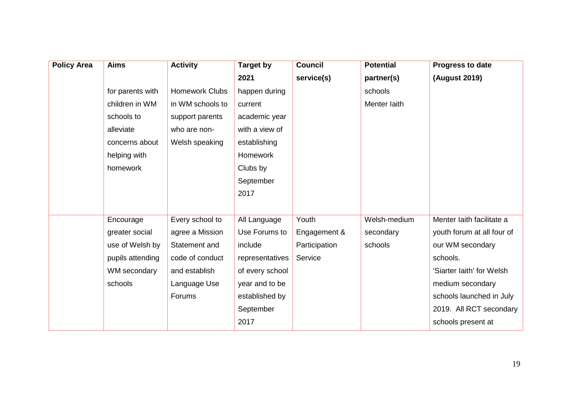| <b>Policy Area</b> | <b>Aims</b>      | <b>Activity</b>       | <b>Target by</b> | <b>Council</b> | <b>Potential</b> | Progress to date           |
|--------------------|------------------|-----------------------|------------------|----------------|------------------|----------------------------|
|                    |                  |                       | 2021             | service(s)     | partner(s)       | (August 2019)              |
|                    | for parents with | <b>Homework Clubs</b> | happen during    |                | schools          |                            |
|                    | children in WM   | in WM schools to      | current          |                | Menter laith     |                            |
|                    | schools to       | support parents       | academic year    |                |                  |                            |
|                    | alleviate        | who are non-          | with a view of   |                |                  |                            |
|                    | concerns about   | Welsh speaking        | establishing     |                |                  |                            |
|                    | helping with     |                       | Homework         |                |                  |                            |
|                    | homework         |                       | Clubs by         |                |                  |                            |
|                    |                  |                       | September        |                |                  |                            |
|                    |                  |                       | 2017             |                |                  |                            |
|                    |                  |                       |                  |                |                  |                            |
|                    | Encourage        | Every school to       | All Language     | Youth          | Welsh-medium     | Menter laith facilitate a  |
|                    | greater social   | agree a Mission       | Use Forums to    | Engagement &   | secondary        | youth forum at all four of |
|                    | use of Welsh by  | Statement and         | include          | Participation  | schools          | our WM secondary           |
|                    | pupils attending | code of conduct       | representatives  | Service        |                  | schools.                   |
|                    | WM secondary     | and establish         | of every school  |                |                  | 'Siarter laith' for Welsh  |
|                    | schools          | Language Use          | year and to be   |                |                  | medium secondary           |
|                    |                  | Forums                | established by   |                |                  | schools launched in July   |
|                    |                  |                       | September        |                |                  | 2019. All RCT secondary    |
|                    |                  |                       | 2017             |                |                  | schools present at         |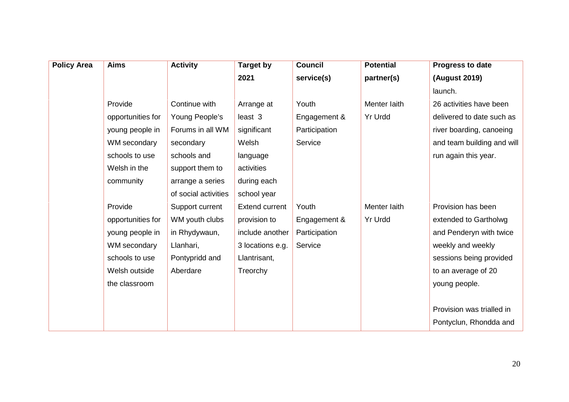| <b>Policy Area</b> | <b>Aims</b>       | <b>Activity</b>      | <b>Target by</b>      | <b>Council</b> | <b>Potential</b> | Progress to date           |
|--------------------|-------------------|----------------------|-----------------------|----------------|------------------|----------------------------|
|                    |                   |                      | 2021                  | service(s)     | partner(s)       | (August 2019)              |
|                    |                   |                      |                       |                |                  | launch.                    |
|                    | Provide           | Continue with        | Arrange at            | Youth          | Menter laith     | 26 activities have been    |
|                    | opportunities for | Young People's       | least 3               | Engagement &   | Yr Urdd          | delivered to date such as  |
|                    | young people in   | Forums in all WM     | significant           | Participation  |                  | river boarding, canoeing   |
|                    | WM secondary      | secondary            | Welsh                 | Service        |                  | and team building and will |
|                    | schools to use    | schools and          | language              |                |                  | run again this year.       |
|                    | Welsh in the      | support them to      | activities            |                |                  |                            |
|                    | community         | arrange a series     | during each           |                |                  |                            |
|                    |                   | of social activities | school year           |                |                  |                            |
|                    | Provide           | Support current      | <b>Extend current</b> | Youth          | Menter laith     | Provision has been         |
|                    | opportunities for | WM youth clubs       | provision to          | Engagement &   | Yr Urdd          | extended to Gartholwg      |
|                    | young people in   | in Rhydywaun,        | include another       | Participation  |                  | and Penderyn with twice    |
|                    | WM secondary      | Llanhari,            | 3 locations e.g.      | Service        |                  | weekly and weekly          |
|                    | schools to use    | Pontypridd and       | Llantrisant,          |                |                  | sessions being provided    |
|                    | Welsh outside     | Aberdare             | Treorchy              |                |                  | to an average of 20        |
|                    | the classroom     |                      |                       |                |                  | young people.              |
|                    |                   |                      |                       |                |                  |                            |
|                    |                   |                      |                       |                |                  | Provision was trialled in  |
|                    |                   |                      |                       |                |                  | Pontyclun, Rhondda and     |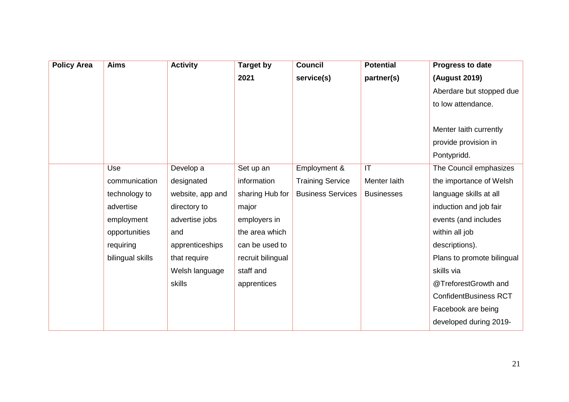| <b>Policy Area</b> | <b>Aims</b>      | <b>Activity</b>  | <b>Target by</b>  | <b>Council</b>           | <b>Potential</b>  | Progress to date             |
|--------------------|------------------|------------------|-------------------|--------------------------|-------------------|------------------------------|
|                    |                  |                  | 2021              | service(s)               | partner(s)        | (August 2019)                |
|                    |                  |                  |                   |                          |                   | Aberdare but stopped due     |
|                    |                  |                  |                   |                          |                   | to low attendance.           |
|                    |                  |                  |                   |                          |                   |                              |
|                    |                  |                  |                   |                          |                   | Menter laith currently       |
|                    |                  |                  |                   |                          |                   | provide provision in         |
|                    |                  |                  |                   |                          |                   | Pontypridd.                  |
|                    | Use              | Develop a        | Set up an         | Employment &             | IT                | The Council emphasizes       |
|                    | communication    | designated       | information       | <b>Training Service</b>  | Menter laith      | the importance of Welsh      |
|                    | technology to    | website, app and | sharing Hub for   | <b>Business Services</b> | <b>Businesses</b> | language skills at all       |
|                    | advertise        | directory to     | major             |                          |                   | induction and job fair       |
|                    | employment       | advertise jobs   | employers in      |                          |                   | events (and includes         |
|                    | opportunities    | and              | the area which    |                          |                   | within all job               |
|                    | requiring        | apprenticeships  | can be used to    |                          |                   | descriptions).               |
|                    | bilingual skills | that require     | recruit bilingual |                          |                   | Plans to promote bilingual   |
|                    |                  | Welsh language   | staff and         |                          |                   | skills via                   |
|                    |                  | skills           | apprentices       |                          |                   | @TreforestGrowth and         |
|                    |                  |                  |                   |                          |                   | <b>ConfidentBusiness RCT</b> |
|                    |                  |                  |                   |                          |                   | Facebook are being           |
|                    |                  |                  |                   |                          |                   | developed during 2019-       |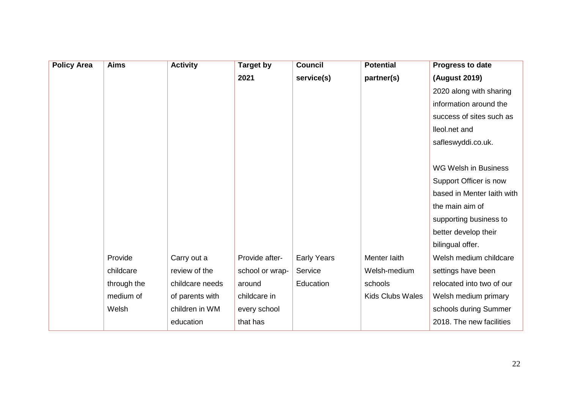| <b>Policy Area</b> | <b>Aims</b> | <b>Activity</b> | <b>Target by</b> | <b>Council</b> | <b>Potential</b>        | <b>Progress to date</b>     |
|--------------------|-------------|-----------------|------------------|----------------|-------------------------|-----------------------------|
|                    |             |                 | 2021             | service(s)     | partner(s)              | <b>(August 2019)</b>        |
|                    |             |                 |                  |                |                         | 2020 along with sharing     |
|                    |             |                 |                  |                |                         | information around the      |
|                    |             |                 |                  |                |                         | success of sites such as    |
|                    |             |                 |                  |                |                         | lleol.net and               |
|                    |             |                 |                  |                |                         | safleswyddi.co.uk.          |
|                    |             |                 |                  |                |                         | <b>WG Welsh in Business</b> |
|                    |             |                 |                  |                |                         | Support Officer is now      |
|                    |             |                 |                  |                |                         | based in Menter laith with  |
|                    |             |                 |                  |                |                         | the main aim of             |
|                    |             |                 |                  |                |                         | supporting business to      |
|                    |             |                 |                  |                |                         | better develop their        |
|                    |             |                 |                  |                |                         | bilingual offer.            |
|                    | Provide     | Carry out a     | Provide after-   | Early Years    | Menter laith            | Welsh medium childcare      |
|                    | childcare   | review of the   | school or wrap-  | Service        | Welsh-medium            | settings have been          |
|                    | through the | childcare needs | around           | Education      | schools                 | relocated into two of our   |
|                    | medium of   | of parents with | childcare in     |                | <b>Kids Clubs Wales</b> | Welsh medium primary        |
|                    | Welsh       | children in WM  | every school     |                |                         | schools during Summer       |
|                    |             | education       | that has         |                |                         | 2018. The new facilities    |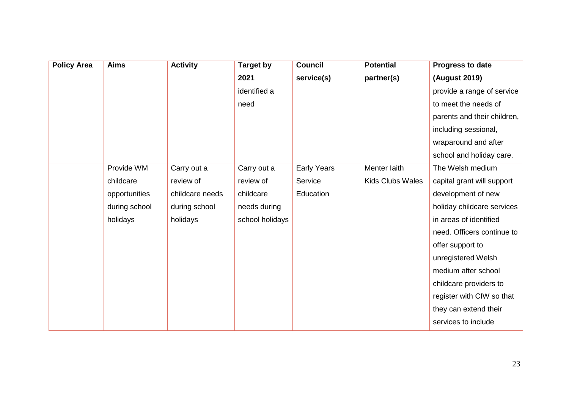| <b>Policy Area</b> | <b>Aims</b>   | <b>Activity</b> | <b>Target by</b> | <b>Council</b>     | <b>Potential</b>        | Progress to date            |
|--------------------|---------------|-----------------|------------------|--------------------|-------------------------|-----------------------------|
|                    |               |                 | 2021             | service(s)         | partner(s)              | (August 2019)               |
|                    |               |                 | identified a     |                    |                         | provide a range of service  |
|                    |               |                 | need             |                    |                         | to meet the needs of        |
|                    |               |                 |                  |                    |                         | parents and their children, |
|                    |               |                 |                  |                    |                         | including sessional,        |
|                    |               |                 |                  |                    |                         | wraparound and after        |
|                    |               |                 |                  |                    |                         | school and holiday care.    |
|                    | Provide WM    | Carry out a     | Carry out a      | <b>Early Years</b> | Menter laith            | The Welsh medium            |
|                    | childcare     | review of       | review of        | Service            | <b>Kids Clubs Wales</b> | capital grant will support  |
|                    | opportunities | childcare needs | childcare        | Education          |                         | development of new          |
|                    | during school | during school   | needs during     |                    |                         | holiday childcare services  |
|                    | holidays      | holidays        | school holidays  |                    |                         | in areas of identified      |
|                    |               |                 |                  |                    |                         | need. Officers continue to  |
|                    |               |                 |                  |                    |                         | offer support to            |
|                    |               |                 |                  |                    |                         | unregistered Welsh          |
|                    |               |                 |                  |                    |                         | medium after school         |
|                    |               |                 |                  |                    |                         | childcare providers to      |
|                    |               |                 |                  |                    |                         | register with CIW so that   |
|                    |               |                 |                  |                    |                         | they can extend their       |
|                    |               |                 |                  |                    |                         | services to include         |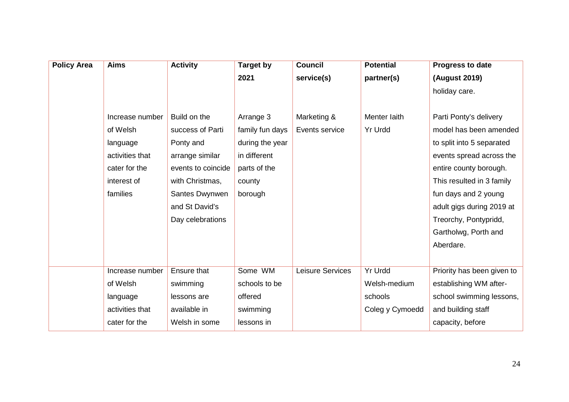| <b>Policy Area</b> | <b>Aims</b>     | <b>Activity</b>    | <b>Target by</b> | <b>Council</b>   | <b>Potential</b> | Progress to date           |
|--------------------|-----------------|--------------------|------------------|------------------|------------------|----------------------------|
|                    |                 |                    | 2021             | service(s)       | partner(s)       | (August 2019)              |
|                    |                 |                    |                  |                  |                  | holiday care.              |
|                    |                 |                    |                  |                  |                  |                            |
|                    | Increase number | Build on the       | Arrange 3        | Marketing &      | Menter laith     | Parti Ponty's delivery     |
|                    | of Welsh        | success of Parti   | family fun days  | Events service   | <b>Yr Urdd</b>   | model has been amended     |
|                    | language        | Ponty and          | during the year  |                  |                  | to split into 5 separated  |
|                    | activities that | arrange similar    | in different     |                  |                  | events spread across the   |
|                    | cater for the   | events to coincide | parts of the     |                  |                  | entire county borough.     |
|                    | interest of     | with Christmas,    | county           |                  |                  | This resulted in 3 family  |
|                    | families        | Santes Dwynwen     | borough          |                  |                  | fun days and 2 young       |
|                    |                 | and St David's     |                  |                  |                  | adult gigs during 2019 at  |
|                    |                 | Day celebrations   |                  |                  |                  | Treorchy, Pontypridd,      |
|                    |                 |                    |                  |                  |                  | Gartholwg, Porth and       |
|                    |                 |                    |                  |                  |                  | Aberdare.                  |
|                    |                 |                    |                  |                  |                  |                            |
|                    | Increase number | Ensure that        | Some WM          | Leisure Services | <b>Yr Urdd</b>   | Priority has been given to |
|                    | of Welsh        | swimming           | schools to be    |                  | Welsh-medium     | establishing WM after-     |
|                    | language        | lessons are        | offered          |                  | schools          | school swimming lessons,   |
|                    | activities that | available in       | swimming         |                  | Coleg y Cymoedd  | and building staff         |
|                    | cater for the   | Welsh in some      | lessons in       |                  |                  | capacity, before           |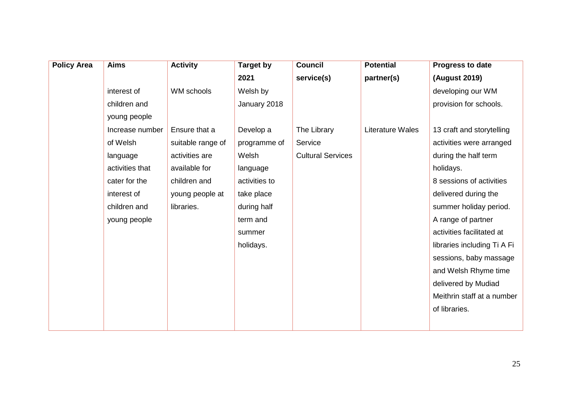| <b>Policy Area</b> | <b>Aims</b>     | <b>Activity</b>   | <b>Target by</b> | <b>Council</b>           | <b>Potential</b> | Progress to date            |
|--------------------|-----------------|-------------------|------------------|--------------------------|------------------|-----------------------------|
|                    |                 |                   | 2021             | service(s)               | partner(s)       | (August 2019)               |
|                    | interest of     | WM schools        | Welsh by         |                          |                  | developing our WM           |
|                    | children and    |                   | January 2018     |                          |                  | provision for schools.      |
|                    | young people    |                   |                  |                          |                  |                             |
|                    | Increase number | Ensure that a     | Develop a        | The Library              | Literature Wales | 13 craft and storytelling   |
|                    | of Welsh        | suitable range of | programme of     | Service                  |                  | activities were arranged    |
|                    | language        | activities are    | Welsh            | <b>Cultural Services</b> |                  | during the half term        |
|                    | activities that | available for     | language         |                          |                  | holidays.                   |
|                    | cater for the   | children and      | activities to    |                          |                  | 8 sessions of activities    |
|                    | interest of     | young people at   | take place       |                          |                  | delivered during the        |
|                    | children and    | libraries.        | during half      |                          |                  | summer holiday period.      |
|                    | young people    |                   | term and         |                          |                  | A range of partner          |
|                    |                 |                   | summer           |                          |                  | activities facilitated at   |
|                    |                 |                   | holidays.        |                          |                  | libraries including Ti A Fi |
|                    |                 |                   |                  |                          |                  | sessions, baby massage      |
|                    |                 |                   |                  |                          |                  | and Welsh Rhyme time        |
|                    |                 |                   |                  |                          |                  | delivered by Mudiad         |
|                    |                 |                   |                  |                          |                  | Meithrin staff at a number  |
|                    |                 |                   |                  |                          |                  | of libraries.               |
|                    |                 |                   |                  |                          |                  |                             |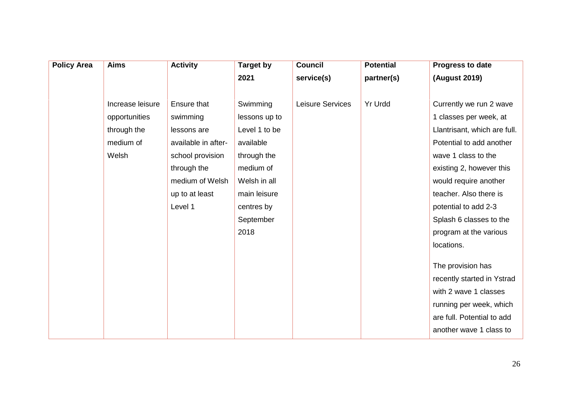| <b>Policy Area</b> | <b>Aims</b>      | <b>Activity</b>     | <b>Target by</b> | <b>Council</b>   | <b>Potential</b> | Progress to date             |
|--------------------|------------------|---------------------|------------------|------------------|------------------|------------------------------|
|                    |                  |                     | 2021             | service(s)       | partner(s)       | (August 2019)                |
|                    |                  |                     |                  |                  |                  |                              |
|                    | Increase leisure | Ensure that         | Swimming         | Leisure Services | Yr Urdd          | Currently we run 2 wave      |
|                    | opportunities    | swimming            | lessons up to    |                  |                  | 1 classes per week, at       |
|                    | through the      | lessons are         | Level 1 to be    |                  |                  | Llantrisant, which are full. |
|                    | medium of        | available in after- | available        |                  |                  | Potential to add another     |
|                    | Welsh            | school provision    | through the      |                  |                  | wave 1 class to the          |
|                    |                  | through the         | medium of        |                  |                  | existing 2, however this     |
|                    |                  | medium of Welsh     | Welsh in all     |                  |                  | would require another        |
|                    |                  | up to at least      | main leisure     |                  |                  | teacher. Also there is       |
|                    |                  | Level 1             | centres by       |                  |                  | potential to add 2-3         |
|                    |                  |                     | September        |                  |                  | Splash 6 classes to the      |
|                    |                  |                     | 2018             |                  |                  | program at the various       |
|                    |                  |                     |                  |                  |                  | locations.                   |
|                    |                  |                     |                  |                  |                  |                              |
|                    |                  |                     |                  |                  |                  | The provision has            |
|                    |                  |                     |                  |                  |                  | recently started in Ystrad   |
|                    |                  |                     |                  |                  |                  | with 2 wave 1 classes        |
|                    |                  |                     |                  |                  |                  | running per week, which      |
|                    |                  |                     |                  |                  |                  | are full. Potential to add   |
|                    |                  |                     |                  |                  |                  | another wave 1 class to      |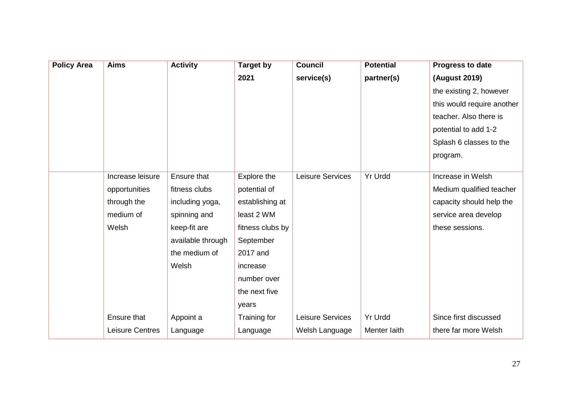| <b>Policy Area</b> | <b>Aims</b>                                                            | <b>Activity</b>                                                                                                                | <b>Target by</b>                                                                                                                                               | <b>Council</b>   | <b>Potential</b> | Progress to date                                                                                                     |
|--------------------|------------------------------------------------------------------------|--------------------------------------------------------------------------------------------------------------------------------|----------------------------------------------------------------------------------------------------------------------------------------------------------------|------------------|------------------|----------------------------------------------------------------------------------------------------------------------|
|                    |                                                                        |                                                                                                                                | 2021                                                                                                                                                           | service(s)       | partner(s)       | (August 2019)                                                                                                        |
|                    |                                                                        |                                                                                                                                |                                                                                                                                                                |                  |                  | the existing 2, however                                                                                              |
|                    |                                                                        |                                                                                                                                |                                                                                                                                                                |                  |                  | this would require another                                                                                           |
|                    |                                                                        |                                                                                                                                |                                                                                                                                                                |                  |                  | teacher. Also there is                                                                                               |
|                    |                                                                        |                                                                                                                                |                                                                                                                                                                |                  |                  | potential to add 1-2                                                                                                 |
|                    |                                                                        |                                                                                                                                |                                                                                                                                                                |                  |                  | Splash 6 classes to the                                                                                              |
|                    |                                                                        |                                                                                                                                |                                                                                                                                                                |                  |                  | program.                                                                                                             |
|                    | Increase leisure<br>opportunities<br>through the<br>medium of<br>Welsh | Ensure that<br>fitness clubs<br>including yoga,<br>spinning and<br>keep-fit are<br>available through<br>the medium of<br>Welsh | Explore the<br>potential of<br>establishing at<br>least 2 WM<br>fitness clubs by<br>September<br>2017 and<br>increase<br>number over<br>the next five<br>years | Leisure Services | Yr Urdd          | Increase in Welsh<br>Medium qualified teacher<br>capacity should help the<br>service area develop<br>these sessions. |
|                    | <b>Ensure that</b>                                                     | Appoint a                                                                                                                      | Training for                                                                                                                                                   | Leisure Services | Yr Urdd          | Since first discussed                                                                                                |
|                    | <b>Leisure Centres</b>                                                 | Language                                                                                                                       | Language                                                                                                                                                       | Welsh Language   | Menter laith     | there far more Welsh                                                                                                 |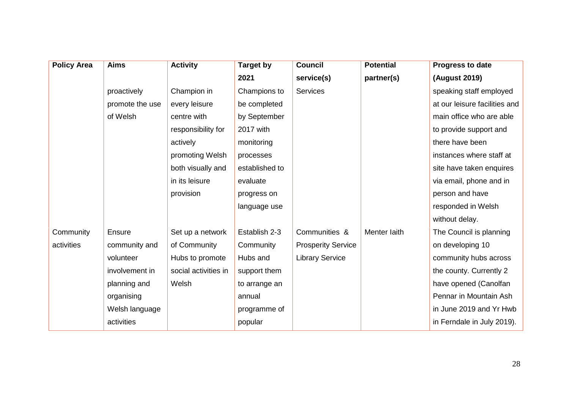| <b>Policy Area</b> | <b>Aims</b>     | <b>Activity</b>      | <b>Target by</b> | <b>Council</b>            | <b>Potential</b> | Progress to date              |
|--------------------|-----------------|----------------------|------------------|---------------------------|------------------|-------------------------------|
|                    |                 |                      | 2021             | service(s)                | partner(s)       | <b>(August 2019)</b>          |
|                    | proactively     | Champion in          | Champions to     | <b>Services</b>           |                  | speaking staff employed       |
|                    | promote the use | every leisure        | be completed     |                           |                  | at our leisure facilities and |
|                    | of Welsh        | centre with          | by September     |                           |                  | main office who are able      |
|                    |                 | responsibility for   | 2017 with        |                           |                  | to provide support and        |
|                    |                 | actively             | monitoring       |                           |                  | there have been               |
|                    |                 | promoting Welsh      | processes        |                           |                  | instances where staff at      |
|                    |                 | both visually and    | established to   |                           |                  | site have taken enquires      |
|                    |                 | in its leisure       | evaluate         |                           |                  | via email, phone and in       |
|                    |                 | provision            | progress on      |                           |                  | person and have               |
|                    |                 |                      | language use     |                           |                  | responded in Welsh            |
|                    |                 |                      |                  |                           |                  | without delay.                |
| Community          | Ensure          | Set up a network     | Establish 2-3    | Communities &             | Menter laith     | The Council is planning       |
| activities         | community and   | of Community         | Community        | <b>Prosperity Service</b> |                  | on developing 10              |
|                    | volunteer       | Hubs to promote      | Hubs and         | <b>Library Service</b>    |                  | community hubs across         |
|                    | involvement in  | social activities in | support them     |                           |                  | the county. Currently 2       |
|                    | planning and    | Welsh                | to arrange an    |                           |                  | have opened (Canolfan         |
|                    | organising      |                      | annual           |                           |                  | Pennar in Mountain Ash        |
|                    | Welsh language  |                      | programme of     |                           |                  | in June 2019 and Yr Hwb       |
|                    | activities      |                      | popular          |                           |                  | in Ferndale in July 2019).    |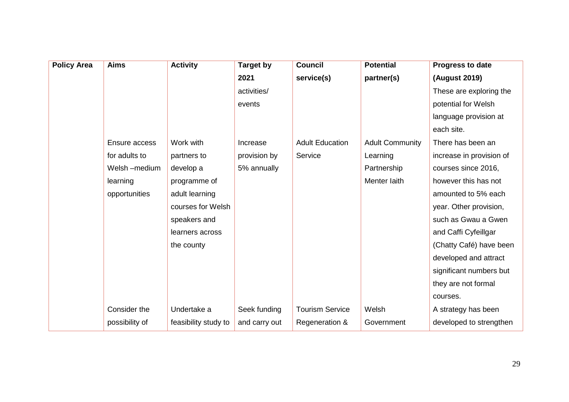| <b>Policy Area</b> | <b>Aims</b>    | <b>Activity</b>      | <b>Target by</b> | <b>Council</b>         | <b>Potential</b>       | <b>Progress to date</b>  |
|--------------------|----------------|----------------------|------------------|------------------------|------------------------|--------------------------|
|                    |                |                      | 2021             | service(s)             | partner(s)             | <b>(August 2019)</b>     |
|                    |                |                      | activities/      |                        |                        | These are exploring the  |
|                    |                |                      | events           |                        |                        | potential for Welsh      |
|                    |                |                      |                  |                        |                        | language provision at    |
|                    |                |                      |                  |                        |                        | each site.               |
|                    | Ensure access  | Work with            | Increase         | <b>Adult Education</b> | <b>Adult Community</b> | There has been an        |
|                    | for adults to  | partners to          | provision by     | Service                | Learning               | increase in provision of |
|                    | Welsh-medium   | develop a            | 5% annually      |                        | Partnership            | courses since 2016,      |
|                    | learning       | programme of         |                  |                        | Menter laith           | however this has not     |
|                    | opportunities  | adult learning       |                  |                        |                        | amounted to 5% each      |
|                    |                | courses for Welsh    |                  |                        |                        | year. Other provision,   |
|                    |                | speakers and         |                  |                        |                        | such as Gwau a Gwen      |
|                    |                | learners across      |                  |                        |                        | and Caffi Cyfeillgar     |
|                    |                | the county           |                  |                        |                        | (Chatty Café) have been  |
|                    |                |                      |                  |                        |                        | developed and attract    |
|                    |                |                      |                  |                        |                        | significant numbers but  |
|                    |                |                      |                  |                        |                        | they are not formal      |
|                    |                |                      |                  |                        |                        | courses.                 |
|                    | Consider the   | Undertake a          | Seek funding     | <b>Tourism Service</b> | Welsh                  | A strategy has been      |
|                    | possibility of | feasibility study to | and carry out    | Regeneration &         | Government             | developed to strengthen  |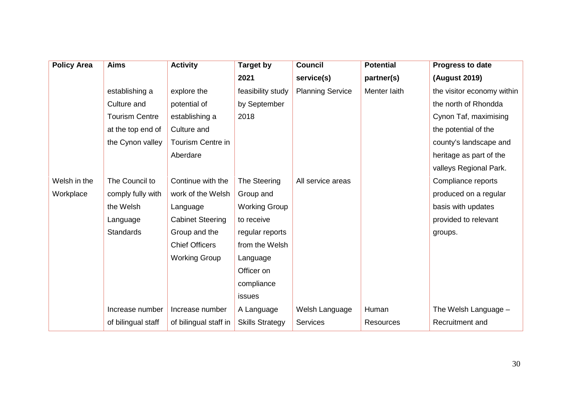| <b>Policy Area</b> | <b>Aims</b>           | <b>Activity</b>         | <b>Target by</b>       | <b>Council</b>          | <b>Potential</b> | Progress to date           |
|--------------------|-----------------------|-------------------------|------------------------|-------------------------|------------------|----------------------------|
|                    |                       |                         | 2021                   | service(s)              | partner(s)       | (August 2019)              |
|                    | establishing a        | explore the             | feasibility study      | <b>Planning Service</b> | Menter laith     | the visitor economy within |
|                    | Culture and           | potential of            | by September           |                         |                  | the north of Rhondda       |
|                    | <b>Tourism Centre</b> | establishing a          | 2018                   |                         |                  | Cynon Taf, maximising      |
|                    | at the top end of     | Culture and             |                        |                         |                  | the potential of the       |
|                    | the Cynon valley      | Tourism Centre in       |                        |                         |                  | county's landscape and     |
|                    |                       | Aberdare                |                        |                         |                  | heritage as part of the    |
|                    |                       |                         |                        |                         |                  | valleys Regional Park.     |
| Welsh in the       | The Council to        | Continue with the       | The Steering           | All service areas       |                  | Compliance reports         |
| Workplace          | comply fully with     | work of the Welsh       | Group and              |                         |                  | produced on a regular      |
|                    | the Welsh             | Language                | <b>Working Group</b>   |                         |                  | basis with updates         |
|                    | Language              | <b>Cabinet Steering</b> | to receive             |                         |                  | provided to relevant       |
|                    | <b>Standards</b>      | Group and the           | regular reports        |                         |                  | groups.                    |
|                    |                       | <b>Chief Officers</b>   | from the Welsh         |                         |                  |                            |
|                    |                       | <b>Working Group</b>    | Language               |                         |                  |                            |
|                    |                       |                         | Officer on             |                         |                  |                            |
|                    |                       |                         | compliance             |                         |                  |                            |
|                    |                       |                         | issues                 |                         |                  |                            |
|                    | Increase number       | Increase number         | A Language             | Welsh Language          | Human            | The Welsh Language -       |
|                    | of bilingual staff    | of bilingual staff in   | <b>Skills Strategy</b> | <b>Services</b>         | Resources        | Recruitment and            |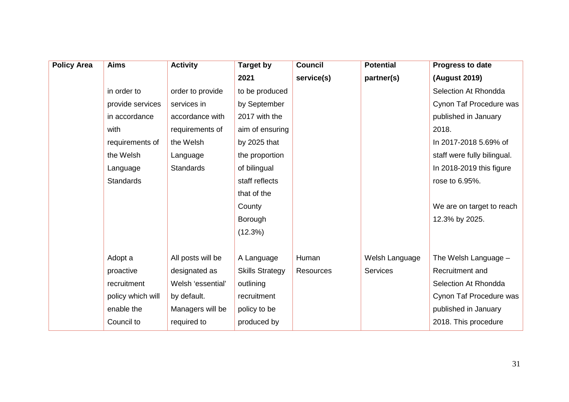| <b>Policy Area</b> | <b>Aims</b>       | <b>Activity</b>   | <b>Target by</b>       | <b>Council</b>   | <b>Potential</b> | Progress to date            |
|--------------------|-------------------|-------------------|------------------------|------------------|------------------|-----------------------------|
|                    |                   |                   | 2021                   | service(s)       | partner(s)       | (August 2019)               |
|                    | in order to       | order to provide  | to be produced         |                  |                  | Selection At Rhondda        |
|                    | provide services  | services in       | by September           |                  |                  | Cynon Taf Procedure was     |
|                    | in accordance     | accordance with   | 2017 with the          |                  |                  | published in January        |
|                    | with              | requirements of   | aim of ensuring        |                  |                  | 2018.                       |
|                    | requirements of   | the Welsh         | by 2025 that           |                  |                  | In 2017-2018 5.69% of       |
|                    | the Welsh         | Language          | the proportion         |                  |                  | staff were fully bilingual. |
|                    | Language          | <b>Standards</b>  | of bilingual           |                  |                  | In 2018-2019 this figure    |
|                    | <b>Standards</b>  |                   | staff reflects         |                  |                  | rose to 6.95%.              |
|                    |                   |                   | that of the            |                  |                  |                             |
|                    |                   |                   | County                 |                  |                  | We are on target to reach   |
|                    |                   |                   | Borough                |                  |                  | 12.3% by 2025.              |
|                    |                   |                   | (12.3%)                |                  |                  |                             |
|                    |                   |                   |                        |                  |                  |                             |
|                    | Adopt a           | All posts will be | A Language             | Human            | Welsh Language   | The Welsh Language -        |
|                    | proactive         | designated as     | <b>Skills Strategy</b> | <b>Resources</b> | <b>Services</b>  | Recruitment and             |
|                    | recruitment       | Welsh 'essential' | outlining              |                  |                  | Selection At Rhondda        |
|                    | policy which will | by default.       | recruitment            |                  |                  | Cynon Taf Procedure was     |
|                    | enable the        | Managers will be  | policy to be           |                  |                  | published in January        |
|                    | Council to        | required to       | produced by            |                  |                  | 2018. This procedure        |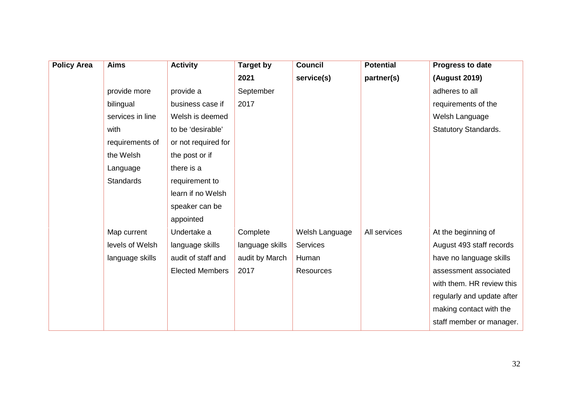| <b>Policy Area</b><br><b>Aims</b> | <b>Activity</b>        | <b>Target by</b> | <b>Council</b> | <b>Potential</b> | <b>Progress to date</b>     |
|-----------------------------------|------------------------|------------------|----------------|------------------|-----------------------------|
|                                   |                        | 2021             | service(s)     | partner(s)       | (August 2019)               |
| provide more                      | provide a              | September        |                |                  | adheres to all              |
| bilingual                         | business case if       | 2017             |                |                  | requirements of the         |
| services in line                  | Welsh is deemed        |                  |                |                  | Welsh Language              |
| with                              | to be 'desirable'      |                  |                |                  | <b>Statutory Standards.</b> |
| requirements of                   | or not required for    |                  |                |                  |                             |
| the Welsh                         | the post or if         |                  |                |                  |                             |
| Language                          | there is a             |                  |                |                  |                             |
| <b>Standards</b>                  | requirement to         |                  |                |                  |                             |
|                                   | learn if no Welsh      |                  |                |                  |                             |
|                                   | speaker can be         |                  |                |                  |                             |
|                                   | appointed              |                  |                |                  |                             |
| Map current                       | Undertake a            | Complete         | Welsh Language | All services     | At the beginning of         |
| levels of Welsh                   | language skills        | language skills  | Services       |                  | August 493 staff records    |
| language skills                   | audit of staff and     | audit by March   | Human          |                  | have no language skills     |
|                                   | <b>Elected Members</b> | 2017             | Resources      |                  | assessment associated       |
|                                   |                        |                  |                |                  | with them. HR review this   |
|                                   |                        |                  |                |                  | regularly and update after  |
|                                   |                        |                  |                |                  | making contact with the     |
|                                   |                        |                  |                |                  | staff member or manager.    |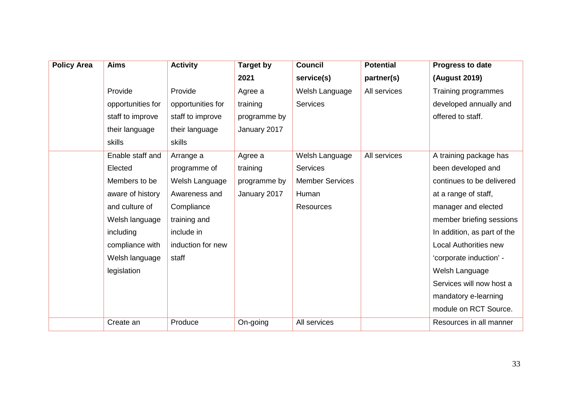| <b>Policy Area</b> | <b>Aims</b>       | <b>Activity</b>   | <b>Target by</b> | <b>Council</b>         | <b>Potential</b> | Progress to date             |
|--------------------|-------------------|-------------------|------------------|------------------------|------------------|------------------------------|
|                    |                   |                   | 2021             | service(s)             | partner(s)       | (August 2019)                |
|                    | Provide           | Provide           | Agree a          | Welsh Language         | All services     | Training programmes          |
|                    | opportunities for | opportunities for | training         | <b>Services</b>        |                  | developed annually and       |
|                    | staff to improve  | staff to improve  | programme by     |                        |                  | offered to staff.            |
|                    | their language    | their language    | January 2017     |                        |                  |                              |
|                    | skills            | skills            |                  |                        |                  |                              |
|                    | Enable staff and  | Arrange a         | Agree a          | Welsh Language         | All services     | A training package has       |
|                    | Elected           | programme of      | training         | <b>Services</b>        |                  | been developed and           |
|                    | Members to be     | Welsh Language    | programme by     | <b>Member Services</b> |                  | continues to be delivered    |
|                    | aware of history  | Awareness and     | January 2017     | Human                  |                  | at a range of staff,         |
|                    | and culture of    | Compliance        |                  | <b>Resources</b>       |                  | manager and elected          |
|                    | Welsh language    | training and      |                  |                        |                  | member briefing sessions     |
|                    | including         | include in        |                  |                        |                  | In addition, as part of the  |
|                    | compliance with   | induction for new |                  |                        |                  | <b>Local Authorities new</b> |
|                    | Welsh language    | staff             |                  |                        |                  | 'corporate induction' -      |
|                    | legislation       |                   |                  |                        |                  | Welsh Language               |
|                    |                   |                   |                  |                        |                  | Services will now host a     |
|                    |                   |                   |                  |                        |                  | mandatory e-learning         |
|                    |                   |                   |                  |                        |                  | module on RCT Source.        |
|                    | Create an         | Produce           | On-going         | All services           |                  | Resources in all manner      |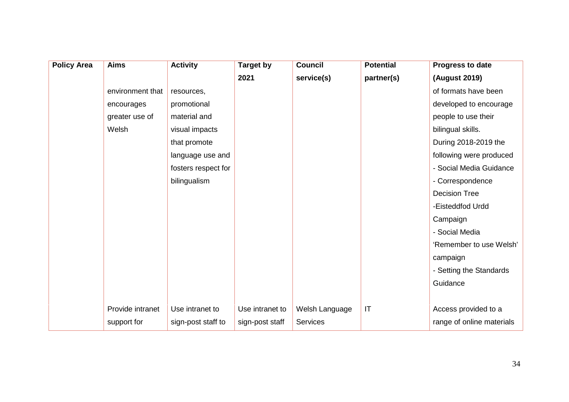| <b>Policy Area</b> | <b>Aims</b>      | <b>Activity</b>     | <b>Target by</b> | <b>Council</b>  | <b>Potential</b>       | Progress to date          |
|--------------------|------------------|---------------------|------------------|-----------------|------------------------|---------------------------|
|                    |                  |                     | 2021             | service(s)      | partner(s)             | (August 2019)             |
|                    | environment that | resources,          |                  |                 |                        | of formats have been      |
|                    | encourages       | promotional         |                  |                 |                        | developed to encourage    |
|                    | greater use of   | material and        |                  |                 |                        | people to use their       |
|                    | Welsh            | visual impacts      |                  |                 |                        | bilingual skills.         |
|                    |                  | that promote        |                  |                 |                        | During 2018-2019 the      |
|                    |                  | language use and    |                  |                 |                        | following were produced   |
|                    |                  | fosters respect for |                  |                 |                        | - Social Media Guidance   |
|                    |                  | bilingualism        |                  |                 |                        | - Correspondence          |
|                    |                  |                     |                  |                 |                        | <b>Decision Tree</b>      |
|                    |                  |                     |                  |                 |                        | -Eisteddfod Urdd          |
|                    |                  |                     |                  |                 |                        | Campaign                  |
|                    |                  |                     |                  |                 |                        | - Social Media            |
|                    |                  |                     |                  |                 |                        | 'Remember to use Welsh'   |
|                    |                  |                     |                  |                 |                        | campaign                  |
|                    |                  |                     |                  |                 |                        | - Setting the Standards   |
|                    |                  |                     |                  |                 |                        | Guidance                  |
|                    |                  |                     |                  |                 |                        |                           |
|                    | Provide intranet | Use intranet to     | Use intranet to  | Welsh Language  | $\mathsf{I}\mathsf{T}$ | Access provided to a      |
|                    | support for      | sign-post staff to  | sign-post staff  | <b>Services</b> |                        | range of online materials |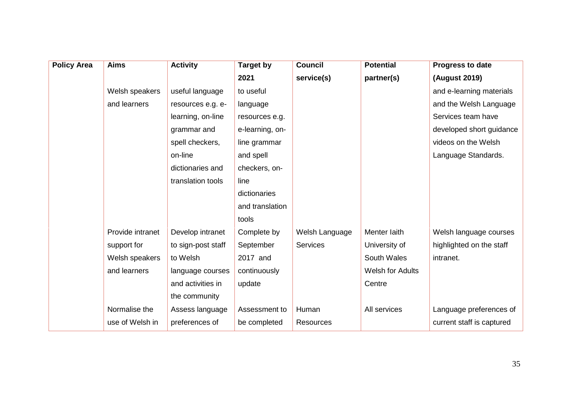| <b>Policy Area</b> | <b>Aims</b>      | <b>Activity</b>    | <b>Target by</b> | <b>Council</b>  | <b>Potential</b>        | <b>Progress to date</b>   |
|--------------------|------------------|--------------------|------------------|-----------------|-------------------------|---------------------------|
|                    |                  |                    | 2021             | service(s)      | partner(s)              | (August 2019)             |
|                    | Welsh speakers   | useful language    | to useful        |                 |                         | and e-learning materials  |
|                    | and learners     | resources e.g. e-  | language         |                 |                         | and the Welsh Language    |
|                    |                  | learning, on-line  | resources e.g.   |                 |                         | Services team have        |
|                    |                  | grammar and        | e-learning, on-  |                 |                         | developed short guidance  |
|                    |                  | spell checkers,    | line grammar     |                 |                         | videos on the Welsh       |
|                    |                  | on-line            | and spell        |                 |                         | Language Standards.       |
|                    |                  | dictionaries and   | checkers, on-    |                 |                         |                           |
|                    |                  | translation tools  | line             |                 |                         |                           |
|                    |                  |                    | dictionaries     |                 |                         |                           |
|                    |                  |                    | and translation  |                 |                         |                           |
|                    |                  |                    | tools            |                 |                         |                           |
|                    | Provide intranet | Develop intranet   | Complete by      | Welsh Language  | Menter laith            | Welsh language courses    |
|                    | support for      | to sign-post staff | September        | <b>Services</b> | University of           | highlighted on the staff  |
|                    | Welsh speakers   | to Welsh           | 2017 and         |                 | South Wales             | intranet.                 |
|                    | and learners     | language courses   | continuously     |                 | <b>Welsh for Adults</b> |                           |
|                    |                  | and activities in  | update           |                 | Centre                  |                           |
|                    |                  | the community      |                  |                 |                         |                           |
|                    | Normalise the    | Assess language    | Assessment to    | Human           | All services            | Language preferences of   |
|                    | use of Welsh in  | preferences of     | be completed     | Resources       |                         | current staff is captured |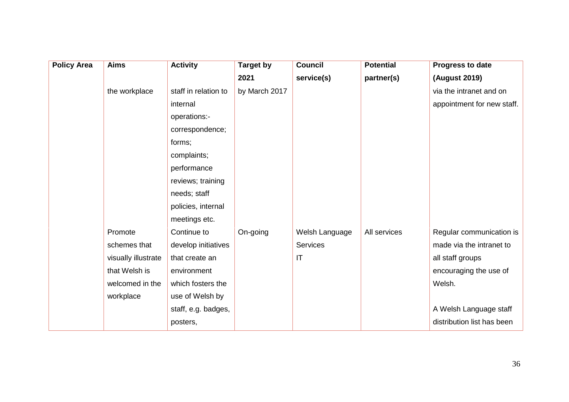| <b>Policy Area</b> | <b>Aims</b>         | <b>Activity</b>      | <b>Target by</b> | <b>Council</b>         | <b>Potential</b> | Progress to date           |
|--------------------|---------------------|----------------------|------------------|------------------------|------------------|----------------------------|
|                    |                     |                      | 2021             | service(s)             | partner(s)       | (August 2019)              |
|                    | the workplace       | staff in relation to | by March 2017    |                        |                  | via the intranet and on    |
|                    |                     | internal             |                  |                        |                  | appointment for new staff. |
|                    |                     | operations:-         |                  |                        |                  |                            |
|                    |                     | correspondence;      |                  |                        |                  |                            |
|                    |                     | forms;               |                  |                        |                  |                            |
|                    |                     | complaints;          |                  |                        |                  |                            |
|                    |                     | performance          |                  |                        |                  |                            |
|                    |                     | reviews; training    |                  |                        |                  |                            |
|                    |                     | needs; staff         |                  |                        |                  |                            |
|                    |                     | policies, internal   |                  |                        |                  |                            |
|                    |                     | meetings etc.        |                  |                        |                  |                            |
|                    | Promote             | Continue to          | On-going         | Welsh Language         | All services     | Regular communication is   |
|                    | schemes that        | develop initiatives  |                  | <b>Services</b>        |                  | made via the intranet to   |
|                    | visually illustrate | that create an       |                  | $\mathsf{I}\mathsf{T}$ |                  | all staff groups           |
|                    | that Welsh is       | environment          |                  |                        |                  | encouraging the use of     |
|                    | welcomed in the     | which fosters the    |                  |                        |                  | Welsh.                     |
|                    | workplace           | use of Welsh by      |                  |                        |                  |                            |
|                    |                     | staff, e.g. badges,  |                  |                        |                  | A Welsh Language staff     |
|                    |                     | posters,             |                  |                        |                  | distribution list has been |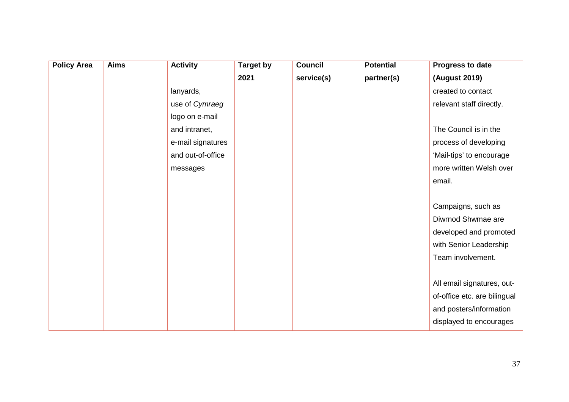| <b>Policy Area</b> | <b>Aims</b> | <b>Activity</b>   | <b>Target by</b> | <b>Council</b> | <b>Potential</b> | Progress to date             |
|--------------------|-------------|-------------------|------------------|----------------|------------------|------------------------------|
|                    |             |                   | 2021             | service(s)     | partner(s)       | <b>(August 2019)</b>         |
|                    |             | lanyards,         |                  |                |                  | created to contact           |
|                    |             | use of Cymraeg    |                  |                |                  | relevant staff directly.     |
|                    |             | logo on e-mail    |                  |                |                  |                              |
|                    |             | and intranet,     |                  |                |                  | The Council is in the        |
|                    |             | e-mail signatures |                  |                |                  | process of developing        |
|                    |             | and out-of-office |                  |                |                  | 'Mail-tips' to encourage     |
|                    |             | messages          |                  |                |                  | more written Welsh over      |
|                    |             |                   |                  |                |                  | email.                       |
|                    |             |                   |                  |                |                  |                              |
|                    |             |                   |                  |                |                  | Campaigns, such as           |
|                    |             |                   |                  |                |                  | Diwrnod Shwmae are           |
|                    |             |                   |                  |                |                  | developed and promoted       |
|                    |             |                   |                  |                |                  | with Senior Leadership       |
|                    |             |                   |                  |                |                  | Team involvement.            |
|                    |             |                   |                  |                |                  | All email signatures, out-   |
|                    |             |                   |                  |                |                  | of-office etc. are bilingual |
|                    |             |                   |                  |                |                  | and posters/information      |
|                    |             |                   |                  |                |                  | displayed to encourages      |
|                    |             |                   |                  |                |                  |                              |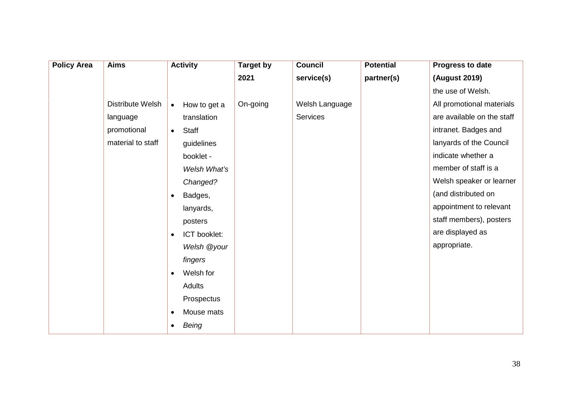| <b>Policy Area</b> | <b>Aims</b>             | <b>Activity</b>           | <b>Target by</b> | <b>Council</b> | <b>Potential</b> | Progress to date           |
|--------------------|-------------------------|---------------------------|------------------|----------------|------------------|----------------------------|
|                    |                         |                           | 2021             | service(s)     | partner(s)       | <b>(August 2019)</b>       |
|                    |                         |                           |                  |                |                  | the use of Welsh.          |
|                    | <b>Distribute Welsh</b> | How to get a<br>$\bullet$ | On-going         | Welsh Language |                  | All promotional materials  |
|                    | language                | translation               |                  | Services       |                  | are available on the staff |
|                    | promotional             | <b>Staff</b><br>$\bullet$ |                  |                |                  | intranet. Badges and       |
|                    | material to staff       | guidelines                |                  |                |                  | lanyards of the Council    |
|                    |                         | booklet -                 |                  |                |                  | indicate whether a         |
|                    |                         | Welsh What's              |                  |                |                  | member of staff is a       |
|                    |                         | Changed?                  |                  |                |                  | Welsh speaker or learner   |
|                    |                         | Badges,<br>$\bullet$      |                  |                |                  | (and distributed on        |
|                    |                         | lanyards,                 |                  |                |                  | appointment to relevant    |
|                    |                         | posters                   |                  |                |                  | staff members), posters    |
|                    |                         | ICT booklet:<br>$\bullet$ |                  |                |                  | are displayed as           |
|                    |                         | Welsh @your               |                  |                |                  | appropriate.               |
|                    |                         | fingers                   |                  |                |                  |                            |
|                    |                         | Welsh for<br>$\bullet$    |                  |                |                  |                            |
|                    |                         | <b>Adults</b>             |                  |                |                  |                            |
|                    |                         | Prospectus                |                  |                |                  |                            |
|                    |                         | Mouse mats<br>$\bullet$   |                  |                |                  |                            |
|                    |                         | Being<br>$\bullet$        |                  |                |                  |                            |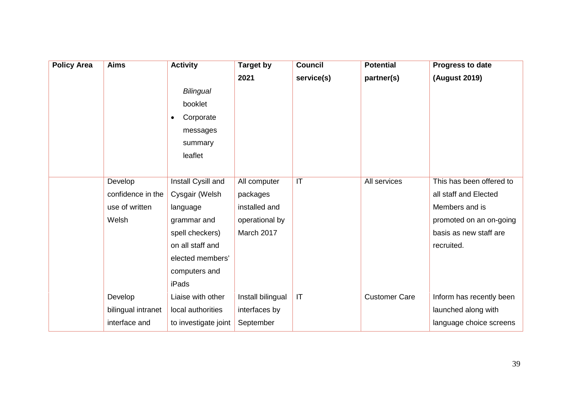| <b>Policy Area</b> | <b>Aims</b>        | <b>Activity</b>        | <b>Target by</b>  | <b>Council</b>         | <b>Potential</b>     | Progress to date         |
|--------------------|--------------------|------------------------|-------------------|------------------------|----------------------|--------------------------|
|                    |                    |                        | 2021              | service(s)             | partner(s)           | <b>(August 2019)</b>     |
|                    |                    | Bilingual              |                   |                        |                      |                          |
|                    |                    | booklet                |                   |                        |                      |                          |
|                    |                    | Corporate<br>$\bullet$ |                   |                        |                      |                          |
|                    |                    | messages               |                   |                        |                      |                          |
|                    |                    | summary                |                   |                        |                      |                          |
|                    |                    | leaflet                |                   |                        |                      |                          |
|                    |                    |                        |                   |                        |                      |                          |
|                    | Develop            | Install Cysill and     | All computer      | $\mathsf{I}\mathsf{T}$ | All services         | This has been offered to |
|                    | confidence in the  | Cysgair (Welsh         | packages          |                        |                      | all staff and Elected    |
|                    | use of written     | language               | installed and     |                        |                      | Members and is           |
|                    | Welsh              | grammar and            | operational by    |                        |                      | promoted on an on-going  |
|                    |                    | spell checkers)        | March 2017        |                        |                      | basis as new staff are   |
|                    |                    | on all staff and       |                   |                        |                      | recruited.               |
|                    |                    | elected members'       |                   |                        |                      |                          |
|                    |                    | computers and          |                   |                        |                      |                          |
|                    |                    | iPads                  |                   |                        |                      |                          |
|                    | Develop            | Liaise with other      | Install bilingual | $\mathsf{I}\mathsf{T}$ | <b>Customer Care</b> | Inform has recently been |
|                    | bilingual intranet | local authorities      | interfaces by     |                        |                      | launched along with      |
|                    | interface and      | to investigate joint   | September         |                        |                      | language choice screens  |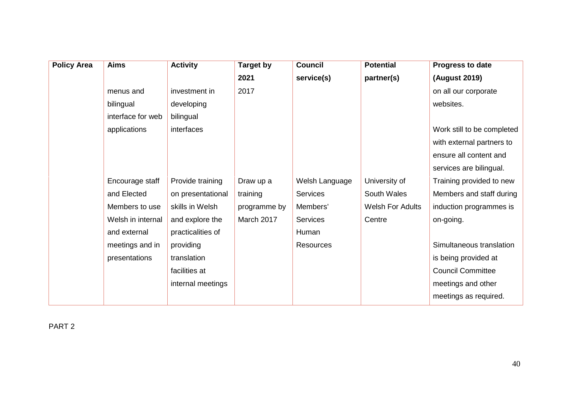| <b>Policy Area</b> | <b>Aims</b>       | <b>Activity</b>   | <b>Target by</b> | <b>Council</b>   | <b>Potential</b>        | <b>Progress to date</b>    |
|--------------------|-------------------|-------------------|------------------|------------------|-------------------------|----------------------------|
|                    |                   |                   | 2021             | service(s)       | partner(s)              | <b>(August 2019)</b>       |
|                    | menus and         | investment in     | 2017             |                  |                         | on all our corporate       |
|                    | bilingual         | developing        |                  |                  |                         | websites.                  |
|                    | interface for web | bilingual         |                  |                  |                         |                            |
|                    | applications      | interfaces        |                  |                  |                         | Work still to be completed |
|                    |                   |                   |                  |                  |                         | with external partners to  |
|                    |                   |                   |                  |                  |                         | ensure all content and     |
|                    |                   |                   |                  |                  |                         | services are bilingual.    |
|                    | Encourage staff   | Provide training  | Draw up a        | Welsh Language   | University of           | Training provided to new   |
|                    | and Elected       | on presentational | training         | <b>Services</b>  | South Wales             | Members and staff during   |
|                    | Members to use    | skills in Welsh   | programme by     | Members'         | <b>Welsh For Adults</b> | induction programmes is    |
|                    | Welsh in internal | and explore the   | March 2017       | <b>Services</b>  | Centre                  | on-going.                  |
|                    | and external      | practicalities of |                  | Human            |                         |                            |
|                    | meetings and in   | providing         |                  | <b>Resources</b> |                         | Simultaneous translation   |
|                    | presentations     | translation       |                  |                  |                         | is being provided at       |
|                    |                   | facilities at     |                  |                  |                         | <b>Council Committee</b>   |
|                    |                   | internal meetings |                  |                  |                         | meetings and other         |
|                    |                   |                   |                  |                  |                         | meetings as required.      |

PART 2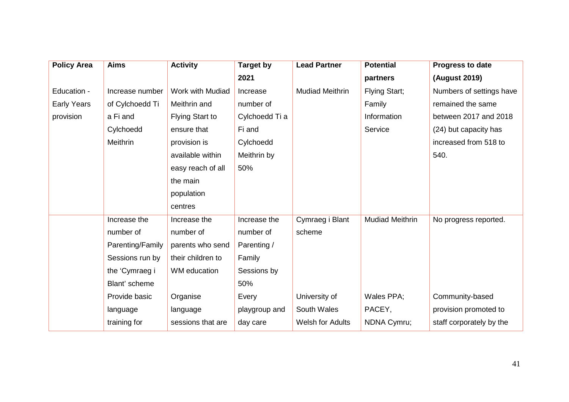| <b>Policy Area</b> | <b>Aims</b>      | <b>Activity</b>        | <b>Target by</b> | <b>Lead Partner</b>     | <b>Potential</b>       | Progress to date         |
|--------------------|------------------|------------------------|------------------|-------------------------|------------------------|--------------------------|
|                    |                  |                        | 2021             |                         | partners               | (August 2019)            |
| Education -        | Increase number  | Work with Mudiad       | Increase         | <b>Mudiad Meithrin</b>  | Flying Start;          | Numbers of settings have |
| <b>Early Years</b> | of Cylchoedd Ti  | Meithrin and           | number of        |                         | Family                 | remained the same        |
| provision          | a Fi and         | <b>Flying Start to</b> | Cylchoedd Ti a   |                         | Information            | between 2017 and 2018    |
|                    | Cylchoedd        | ensure that            | Fi and           |                         | Service                | (24) but capacity has    |
|                    | Meithrin         | provision is           | Cylchoedd        |                         |                        | increased from 518 to    |
|                    |                  | available within       | Meithrin by      |                         |                        | 540.                     |
|                    |                  | easy reach of all      | 50%              |                         |                        |                          |
|                    |                  | the main               |                  |                         |                        |                          |
|                    |                  | population             |                  |                         |                        |                          |
|                    |                  | centres                |                  |                         |                        |                          |
|                    | Increase the     | Increase the           | Increase the     | Cymraeg i Blant         | <b>Mudiad Meithrin</b> | No progress reported.    |
|                    | number of        | number of              | number of        | scheme                  |                        |                          |
|                    | Parenting/Family | parents who send       | Parenting /      |                         |                        |                          |
|                    | Sessions run by  | their children to      | Family           |                         |                        |                          |
|                    | the 'Cymraeg i   | WM education           | Sessions by      |                         |                        |                          |
|                    | Blant' scheme    |                        | 50%              |                         |                        |                          |
|                    | Provide basic    | Organise               | Every            | University of           | Wales PPA;             | Community-based          |
|                    | language         | language               | playgroup and    | South Wales             | PACEY,                 | provision promoted to    |
|                    | training for     | sessions that are      | day care         | <b>Welsh for Adults</b> | NDNA Cymru;            | staff corporately by the |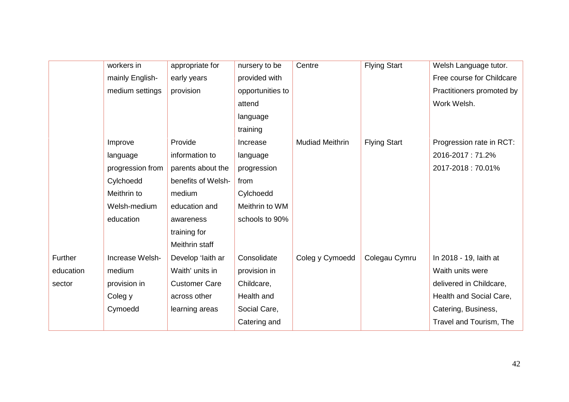|           | workers in       | appropriate for      | nursery to be    | Centre                 | <b>Flying Start</b> | Welsh Language tutor.     |
|-----------|------------------|----------------------|------------------|------------------------|---------------------|---------------------------|
|           | mainly English-  | early years          | provided with    |                        |                     | Free course for Childcare |
|           | medium settings  | provision            | opportunities to |                        |                     | Practitioners promoted by |
|           |                  |                      | attend           |                        |                     | Work Welsh.               |
|           |                  |                      | language         |                        |                     |                           |
|           |                  |                      | training         |                        |                     |                           |
|           | Improve          | Provide              | Increase         | <b>Mudiad Meithrin</b> | <b>Flying Start</b> | Progression rate in RCT:  |
|           | language         | information to       | language         |                        |                     | 2016-2017: 71.2%          |
|           | progression from | parents about the    | progression      |                        |                     | 2017-2018: 70.01%         |
|           | Cylchoedd        | benefits of Welsh-   | from             |                        |                     |                           |
|           | Meithrin to      | medium               | Cylchoedd        |                        |                     |                           |
|           | Welsh-medium     | education and        | Meithrin to WM   |                        |                     |                           |
|           | education        | awareness            | schools to 90%   |                        |                     |                           |
|           |                  | training for         |                  |                        |                     |                           |
|           |                  | Meithrin staff       |                  |                        |                     |                           |
| Further   | Increase Welsh-  | Develop 'laith ar    | Consolidate      | Coleg y Cymoedd        | Colegau Cymru       | In 2018 - 19, laith at    |
| education | medium           | Waith' units in      | provision in     |                        |                     | Waith units were          |
| sector    | provision in     | <b>Customer Care</b> | Childcare,       |                        |                     | delivered in Childcare,   |
|           | Coleg y          | across other         | Health and       |                        |                     | Health and Social Care,   |
|           | Cymoedd          | learning areas       | Social Care,     |                        |                     | Catering, Business,       |
|           |                  |                      | Catering and     |                        |                     | Travel and Tourism, The   |
|           |                  |                      |                  |                        |                     |                           |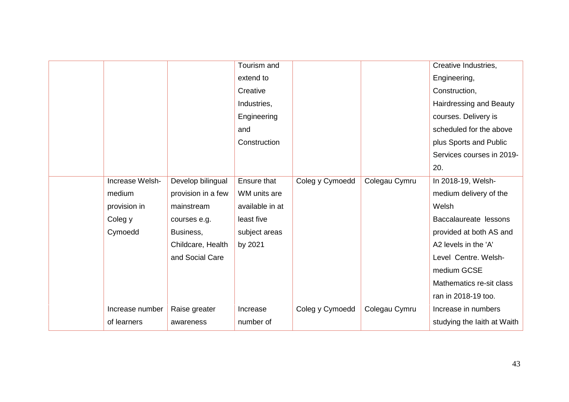|                 |                    | Tourism and     |                 |               | Creative Industries,        |
|-----------------|--------------------|-----------------|-----------------|---------------|-----------------------------|
|                 |                    | extend to       |                 |               | Engineering,                |
|                 |                    | Creative        |                 |               | Construction,               |
|                 |                    | Industries,     |                 |               | Hairdressing and Beauty     |
|                 |                    | Engineering     |                 |               | courses. Delivery is        |
|                 |                    | and             |                 |               | scheduled for the above     |
|                 |                    | Construction    |                 |               | plus Sports and Public      |
|                 |                    |                 |                 |               | Services courses in 2019-   |
|                 |                    |                 |                 |               | 20.                         |
| Increase Welsh- | Develop bilingual  | Ensure that     | Coleg y Cymoedd | Colegau Cymru | In 2018-19, Welsh-          |
| medium          | provision in a few | WM units are    |                 |               | medium delivery of the      |
| provision in    | mainstream         | available in at |                 |               | Welsh                       |
| Coleg y         | courses e.g.       | least five      |                 |               | Baccalaureate lessons       |
| Cymoedd         | Business,          | subject areas   |                 |               | provided at both AS and     |
|                 | Childcare, Health  | by 2021         |                 |               | A2 levels in the 'A'        |
|                 | and Social Care    |                 |                 |               | Level Centre. Welsh-        |
|                 |                    |                 |                 |               | medium GCSE                 |
|                 |                    |                 |                 |               | Mathematics re-sit class    |
|                 |                    |                 |                 |               | ran in 2018-19 too.         |
| Increase number | Raise greater      | Increase        | Coleg y Cymoedd | Colegau Cymru | Increase in numbers         |
| of learners     | awareness          | number of       |                 |               | studying the laith at Waith |
|                 |                    |                 |                 |               |                             |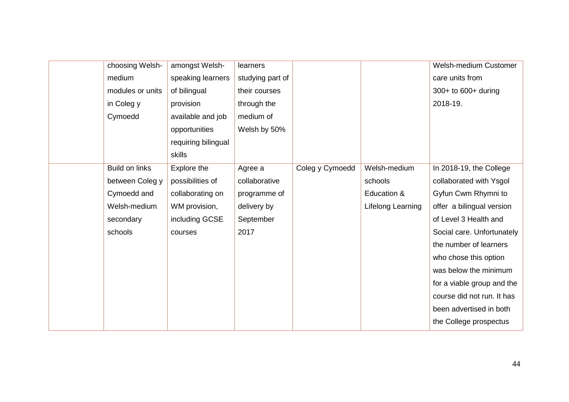| choosing Welsh-       | amongst Welsh-      | learners         |                 |                   | <b>Welsh-medium Customer</b> |
|-----------------------|---------------------|------------------|-----------------|-------------------|------------------------------|
| medium                | speaking learners   | studying part of |                 |                   | care units from              |
| modules or units      | of bilingual        | their courses    |                 |                   | 300+ to 600+ during          |
| in Coleg y            | provision           | through the      |                 |                   | 2018-19.                     |
| Cymoedd               | available and job   | medium of        |                 |                   |                              |
|                       | opportunities       | Welsh by 50%     |                 |                   |                              |
|                       | requiring bilingual |                  |                 |                   |                              |
|                       | skills              |                  |                 |                   |                              |
| <b>Build on links</b> | Explore the         | Agree a          | Coleg y Cymoedd | Welsh-medium      | In 2018-19, the College      |
| between Coleg y       | possibilities of    | collaborative    |                 | schools           | collaborated with Ysgol      |
| Cymoedd and           | collaborating on    | programme of     |                 | Education &       | Gyfun Cwm Rhymni to          |
| Welsh-medium          | WM provision,       | delivery by      |                 | Lifelong Learning | offer a bilingual version    |
| secondary             | including GCSE      | September        |                 |                   | of Level 3 Health and        |
| schools               | courses             | 2017             |                 |                   | Social care. Unfortunately   |
|                       |                     |                  |                 |                   | the number of learners       |
|                       |                     |                  |                 |                   | who chose this option        |
|                       |                     |                  |                 |                   | was below the minimum        |
|                       |                     |                  |                 |                   | for a viable group and the   |
|                       |                     |                  |                 |                   | course did not run. It has   |
|                       |                     |                  |                 |                   | been advertised in both      |
|                       |                     |                  |                 |                   | the College prospectus       |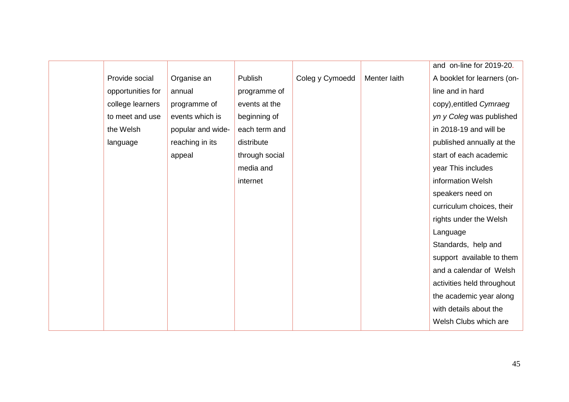|                   |                   |                |                 |              | and on-line for 2019-20.    |
|-------------------|-------------------|----------------|-----------------|--------------|-----------------------------|
| Provide social    | Organise an       | Publish        | Coleg y Cymoedd | Menter laith | A booklet for learners (on- |
| opportunities for | annual            | programme of   |                 |              | line and in hard            |
| college learners  | programme of      | events at the  |                 |              | copy), entitled Cymraeg     |
| to meet and use   | events which is   | beginning of   |                 |              | yn y Coleg was published    |
| the Welsh         | popular and wide- | each term and  |                 |              | in 2018-19 and will be      |
| language          | reaching in its   | distribute     |                 |              | published annually at the   |
|                   | appeal            | through social |                 |              | start of each academic      |
|                   |                   | media and      |                 |              | year This includes          |
|                   |                   | internet       |                 |              | information Welsh           |
|                   |                   |                |                 |              | speakers need on            |
|                   |                   |                |                 |              | curriculum choices, their   |
|                   |                   |                |                 |              | rights under the Welsh      |
|                   |                   |                |                 |              | Language                    |
|                   |                   |                |                 |              | Standards, help and         |
|                   |                   |                |                 |              | support available to them   |
|                   |                   |                |                 |              | and a calendar of Welsh     |
|                   |                   |                |                 |              | activities held throughout  |
|                   |                   |                |                 |              | the academic year along     |
|                   |                   |                |                 |              | with details about the      |
|                   |                   |                |                 |              | Welsh Clubs which are       |
|                   |                   |                |                 |              |                             |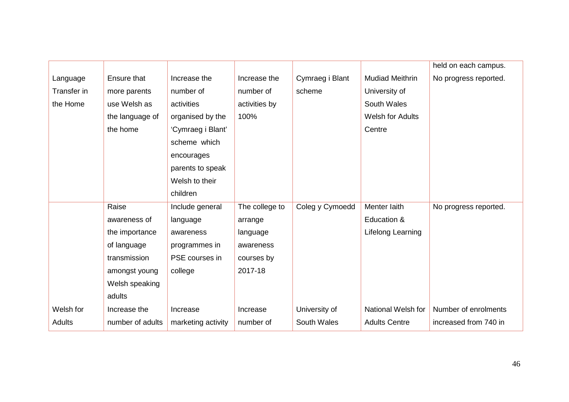|               |                  |                    |                |                 |                         | held on each campus.  |
|---------------|------------------|--------------------|----------------|-----------------|-------------------------|-----------------------|
| Language      | Ensure that      | Increase the       | Increase the   | Cymraeg i Blant | <b>Mudiad Meithrin</b>  | No progress reported. |
| Transfer in   | more parents     | number of          | number of      | scheme          | University of           |                       |
| the Home      | use Welsh as     | activities         | activities by  |                 | South Wales             |                       |
|               | the language of  | organised by the   | 100%           |                 | <b>Welsh for Adults</b> |                       |
|               | the home         | 'Cymraeg i Blant'  |                |                 | Centre                  |                       |
|               |                  | scheme which       |                |                 |                         |                       |
|               |                  | encourages         |                |                 |                         |                       |
|               |                  | parents to speak   |                |                 |                         |                       |
|               |                  | Welsh to their     |                |                 |                         |                       |
|               |                  | children           |                |                 |                         |                       |
|               | Raise            | Include general    | The college to | Coleg y Cymoedd | Menter laith            | No progress reported. |
|               | awareness of     | language           | arrange        |                 | Education &             |                       |
|               | the importance   | awareness          | language       |                 | Lifelong Learning       |                       |
|               | of language      | programmes in      | awareness      |                 |                         |                       |
|               | transmission     | PSE courses in     | courses by     |                 |                         |                       |
|               | amongst young    | college            | 2017-18        |                 |                         |                       |
|               | Welsh speaking   |                    |                |                 |                         |                       |
|               | adults           |                    |                |                 |                         |                       |
| Welsh for     | Increase the     | Increase           | Increase       | University of   | National Welsh for      | Number of enrolments  |
| <b>Adults</b> | number of adults | marketing activity | number of      | South Wales     | <b>Adults Centre</b>    | increased from 740 in |
|               |                  |                    |                |                 |                         |                       |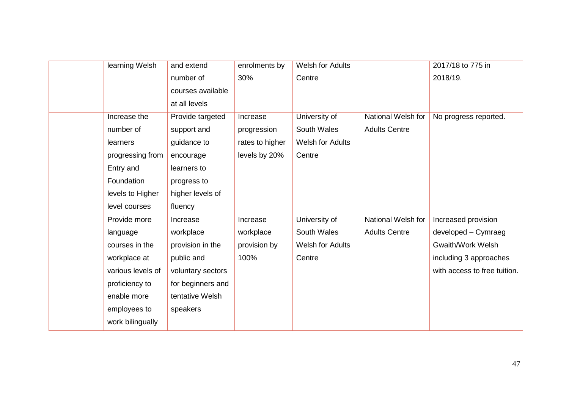| learning Welsh    | and extend        | enrolments by   | <b>Welsh for Adults</b> |                      | 2017/18 to 775 in            |
|-------------------|-------------------|-----------------|-------------------------|----------------------|------------------------------|
|                   | number of         | 30%             | Centre                  |                      | 2018/19.                     |
|                   | courses available |                 |                         |                      |                              |
|                   | at all levels     |                 |                         |                      |                              |
| Increase the      | Provide targeted  | Increase        | University of           | National Welsh for   | No progress reported.        |
| number of         | support and       | progression     | South Wales             | <b>Adults Centre</b> |                              |
| learners          | guidance to       | rates to higher | <b>Welsh for Adults</b> |                      |                              |
| progressing from  | encourage         | levels by 20%   | Centre                  |                      |                              |
| Entry and         | learners to       |                 |                         |                      |                              |
| Foundation        | progress to       |                 |                         |                      |                              |
| levels to Higher  | higher levels of  |                 |                         |                      |                              |
| level courses     | fluency           |                 |                         |                      |                              |
| Provide more      | Increase          | Increase        | University of           | National Welsh for   | Increased provision          |
| language          | workplace         | workplace       | South Wales             | <b>Adults Centre</b> | developed - Cymraeg          |
| courses in the    | provision in the  | provision by    | <b>Welsh for Adults</b> |                      | Gwaith/Work Welsh            |
| workplace at      | public and        | 100%            | Centre                  |                      | including 3 approaches       |
| various levels of | voluntary sectors |                 |                         |                      | with access to free tuition. |
| proficiency to    | for beginners and |                 |                         |                      |                              |
| enable more       | tentative Welsh   |                 |                         |                      |                              |
| employees to      | speakers          |                 |                         |                      |                              |
| work bilingually  |                   |                 |                         |                      |                              |
|                   |                   |                 |                         |                      |                              |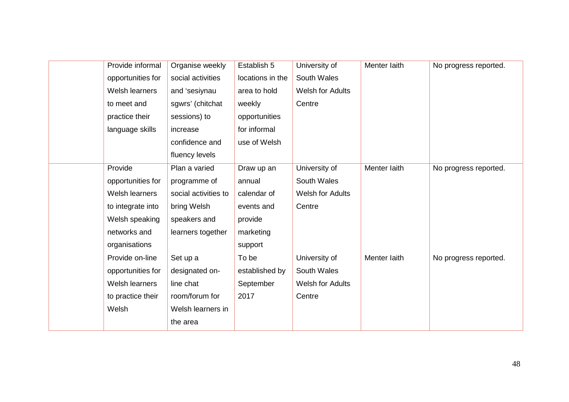| Provide informal  | Organise weekly      | Establish 5      | University of           | Menter laith | No progress reported. |
|-------------------|----------------------|------------------|-------------------------|--------------|-----------------------|
| opportunities for | social activities    | locations in the | South Wales             |              |                       |
| Welsh learners    | and 'sesiynau        | area to hold     | <b>Welsh for Adults</b> |              |                       |
| to meet and       | sgwrs' (chitchat     | weekly           | Centre                  |              |                       |
| practice their    | sessions) to         | opportunities    |                         |              |                       |
| language skills   | increase             | for informal     |                         |              |                       |
|                   | confidence and       | use of Welsh     |                         |              |                       |
|                   | fluency levels       |                  |                         |              |                       |
| Provide           | Plan a varied        | Draw up an       | University of           | Menter laith | No progress reported. |
| opportunities for | programme of         | annual           | South Wales             |              |                       |
| Welsh learners    | social activities to | calendar of      | <b>Welsh for Adults</b> |              |                       |
| to integrate into | bring Welsh          | events and       | Centre                  |              |                       |
| Welsh speaking    | speakers and         | provide          |                         |              |                       |
| networks and      | learners together    | marketing        |                         |              |                       |
| organisations     |                      | support          |                         |              |                       |
| Provide on-line   | Set up a             | To be            | University of           | Menter laith | No progress reported. |
| opportunities for | designated on-       | established by   | South Wales             |              |                       |
| Welsh learners    | line chat            | September        | Welsh for Adults        |              |                       |
| to practice their | room/forum for       | 2017             | Centre                  |              |                       |
| Welsh             | Welsh learners in    |                  |                         |              |                       |
|                   | the area             |                  |                         |              |                       |
|                   |                      |                  |                         |              |                       |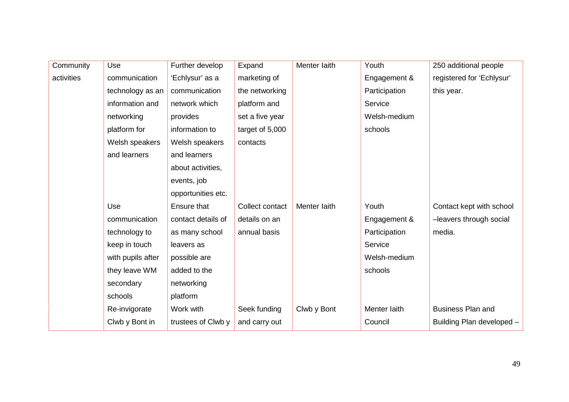| Community  | Use               | Further develop    | Expand          | Menter laith | Youth         | 250 additional people     |
|------------|-------------------|--------------------|-----------------|--------------|---------------|---------------------------|
| activities | communication     | 'Echlysur' as a    | marketing of    |              | Engagement &  | registered for 'Echlysur' |
|            | technology as an  | communication      | the networking  |              | Participation | this year.                |
|            | information and   | network which      | platform and    |              | Service       |                           |
|            | networking        | provides           | set a five year |              | Welsh-medium  |                           |
|            | platform for      | information to     | target of 5,000 |              | schools       |                           |
|            | Welsh speakers    | Welsh speakers     | contacts        |              |               |                           |
|            | and learners      | and learners       |                 |              |               |                           |
|            |                   | about activities,  |                 |              |               |                           |
|            |                   | events, job        |                 |              |               |                           |
|            |                   | opportunities etc. |                 |              |               |                           |
|            | Use               | Ensure that        | Collect contact | Menter laith | Youth         | Contact kept with school  |
|            | communication     | contact details of | details on an   |              | Engagement &  | -leavers through social   |
|            | technology to     | as many school     | annual basis    |              | Participation | media.                    |
|            | keep in touch     | leavers as         |                 |              | Service       |                           |
|            | with pupils after | possible are       |                 |              | Welsh-medium  |                           |
|            | they leave WM     | added to the       |                 |              | schools       |                           |
|            | secondary         | networking         |                 |              |               |                           |
|            | schools           | platform           |                 |              |               |                           |
|            | Re-invigorate     | Work with          | Seek funding    | Clwb y Bont  | Menter laith  | <b>Business Plan and</b>  |
|            | Clwb y Bont in    | trustees of Clwb y | and carry out   |              | Council       | Building Plan developed - |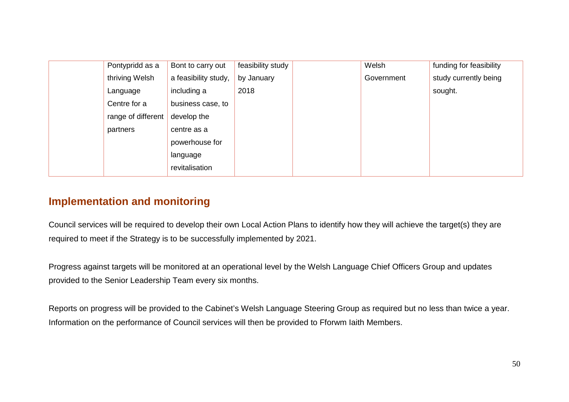| Pontypridd as a    | Bont to carry out    | feasibility study | Welsh      | funding for feasibility |
|--------------------|----------------------|-------------------|------------|-------------------------|
| thriving Welsh     | a feasibility study, | by January        | Government | study currently being   |
| Language           | including a          | 2018              |            | sought.                 |
| Centre for a       | business case, to    |                   |            |                         |
| range of different | develop the          |                   |            |                         |
| partners           | centre as a          |                   |            |                         |
|                    | powerhouse for       |                   |            |                         |
|                    | language             |                   |            |                         |
|                    | revitalisation       |                   |            |                         |
|                    |                      |                   |            |                         |

# **Implementation and monitoring**

Council services will be required to develop their own Local Action Plans to identify how they will achieve the target(s) they are required to meet if the Strategy is to be successfully implemented by 2021.

Progress against targets will be monitored at an operational level by the Welsh Language Chief Officers Group and updates provided to the Senior Leadership Team every six months.

Reports on progress will be provided to the Cabinet's Welsh Language Steering Group as required but no less than twice a year. Information on the performance of Council services will then be provided to Fforwm Iaith Members.